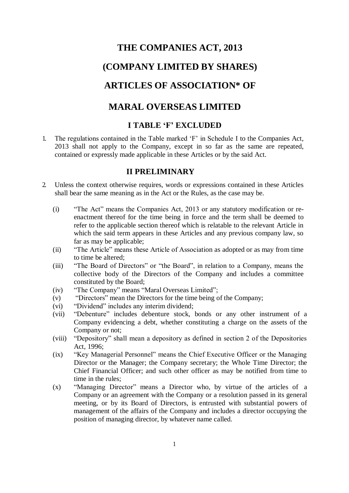# **THE COMPANIES ACT, 2013 (COMPANY LIMITED BY SHARES) ARTICLES OF ASSOCIATION\* OF**

## **MARAL OVERSEAS LIMITED**

### **I TABLE 'F' EXCLUDED**

1. The regulations contained in the Table marked 'F' in Schedule I to the Companies Act, 2013 shall not apply to the Company, except in so far as the same are repeated, contained or expressly made applicable in these Articles or by the said Act.

### **II PRELIMINARY**

- 2. Unless the context otherwise requires, words or expressions contained in these Articles shall bear the same meaning as in the Act or the Rules, as the case may be.
	- (i) "The Act" means the Companies Act, 2013 or any statutory modification or reenactment thereof for the time being in force and the term shall be deemed to refer to the applicable section thereof which is relatable to the relevant Article in which the said term appears in these Articles and any previous company law, so far as may be applicable;
	- (ii) "The Article" means these Article of Association as adopted or as may from time to time be altered;
	- (iii) "The Board of Directors" or "the Board", in relation to a Company, means the collective body of the Directors of the Company and includes a committee constituted by the Board;
	- (iv) "The Company" means "Maral Overseas Limited";
	- (v) "Directors" mean the Directors for the time being of the Company;
	- (vi) "Dividend" includes any interim dividend;
	- (vii) "Debenture" includes debenture stock, bonds or any other instrument of a Company evidencing a debt, whether constituting a charge on the assets of the Company or not;
	- (viii) "Depository" shall mean a depository as defined in section 2 of the Depositories Act, 1996;
	- (ix) "Key Managerial Personnel" means the Chief Executive Officer or the Managing Director or the Manager; the Company secretary; the Whole Time Director; the Chief Financial Officer; and such other officer as may be notified from time to time in the rules;
	- (x) "Managing Director" means a Director who, by virtue of the articles of a Company or an agreement with the Company or a resolution passed in its general meeting, or by its Board of Directors, is entrusted with substantial powers of management of the affairs of the Company and includes a director occupying the position of managing director, by whatever name called.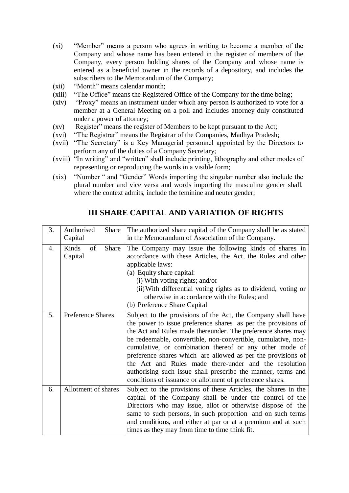- (xi) "Member" means a person who agrees in writing to become a member of the Company and whose name has been entered in the register of members of the Company, every person holding shares of the Company and whose name is entered as a beneficial owner in the records of a depository, and includes the subscribers to the Memorandum of the Company;
- (xii) "Month" means calendar month;
- (xiii) "The Office" means the Registered Office of the Company for the time being;
- (xiv) "Proxy" means an instrument under which any person is authorized to vote for a member at a General Meeting on a poll and includes attorney duly constituted under a power of attorney;
- (xv) Register" means the register of Members to be kept pursuant to the Act;
- (xvi) "The Registrar" means the Registrar of the Companies, Madhya Pradesh;
- (xvii) "The Secretary" is a Key Managerial personnel appointed by the Directors to perform any of the duties of a Company Secretary;
- (xviii) "In writing" and "written" shall include printing, lithography and other modes of representing or reproducing the words in a visible form;
- (xix) "Number " and "Gender" Words importing the singular number also include the plural number and vice versa and words importing the masculine gender shall, where the context admits, include the feminine and neuter gender;

| 3. | Authorised<br>Share<br>Capital  | The authorized share capital of the Company shall be as stated<br>in the Memorandum of Association of the Company.                                                                                                                                                                                                                                                                                                                                                                                                                                                              |
|----|---------------------------------|---------------------------------------------------------------------------------------------------------------------------------------------------------------------------------------------------------------------------------------------------------------------------------------------------------------------------------------------------------------------------------------------------------------------------------------------------------------------------------------------------------------------------------------------------------------------------------|
| 4. | Kinds<br>of<br>Share<br>Capital | The Company may issue the following kinds of shares in<br>accordance with these Articles, the Act, the Rules and other<br>applicable laws:<br>(a) Equity share capital:<br>$(i)$ With voting rights; and/or<br>(ii) With differential voting rights as to dividend, voting or<br>otherwise in accordance with the Rules; and<br>(b) Preference Share Capital                                                                                                                                                                                                                    |
| 5. | <b>Preference Shares</b>        | Subject to the provisions of the Act, the Company shall have<br>the power to issue preference shares as per the provisions of<br>the Act and Rules made thereunder. The preference shares may<br>be redeemable, convertible, non-convertible, cumulative, non-<br>cumulative, or combination thereof or any other mode of<br>preference shares which are allowed as per the provisions of<br>the Act and Rules made there-under and the resolution<br>authorising such issue shall prescribe the manner, terms and<br>conditions of issuance or allotment of preference shares. |
| 6. | Allotment of shares             | Subject to the provisions of these Articles, the Shares in the<br>capital of the Company shall be under the control of the<br>Directors who may issue, allot or otherwise dispose of the<br>same to such persons, in such proportion and on such terms<br>and conditions, and either at par or at a premium and at such<br>times as they may from time to time think fit.                                                                                                                                                                                                       |

### **III SHARE CAPITAL AND VARIATION OF RIGHTS**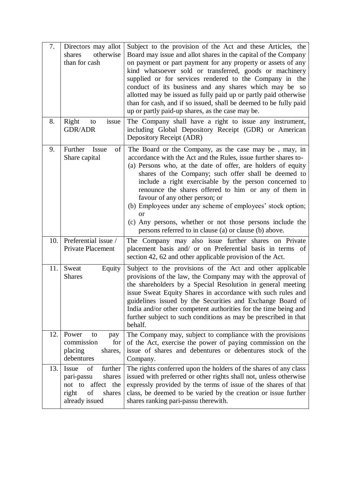| 7.  | Directors may allot<br>otherwise<br>shares<br>than for cash                                                    | Subject to the provision of the Act and these Articles, the<br>Board may issue and allot shares in the capital of the Company<br>on payment or part payment for any property or assets of any<br>kind whatsoever sold or transferred, goods or machinery<br>supplied or for services rendered to the Company in the<br>conduct of its business and any shares which may be so<br>allotted may be issued as fully paid up or partly paid otherwise<br>than for cash, and if so issued, shall be deemed to be fully paid<br>up or partly paid-up shares, as the case may be.                                 |  |  |
|-----|----------------------------------------------------------------------------------------------------------------|------------------------------------------------------------------------------------------------------------------------------------------------------------------------------------------------------------------------------------------------------------------------------------------------------------------------------------------------------------------------------------------------------------------------------------------------------------------------------------------------------------------------------------------------------------------------------------------------------------|--|--|
| 8.  | Right<br>issue<br>to<br><b>GDR/ADR</b>                                                                         | The Company shall have a right to issue any instrument,<br>including Global Depository Receipt (GDR) or American<br>Depository Receipt (ADR)                                                                                                                                                                                                                                                                                                                                                                                                                                                               |  |  |
| 9.  | Further<br>Issue<br>of<br>Share capital                                                                        | The Board or the Company, as the case may be, may, in<br>accordance with the Act and the Rules, issue further shares to-<br>(a) Persons who, at the date of offer, are holders of equity<br>shares of the Company; such offer shall be deemed to<br>include a right exercisable by the person concerned to<br>renounce the shares offered to him or any of them in<br>favour of any other person; or<br>(b) Employees under any scheme of employees' stock option;<br><sub>or</sub><br>(c) Any persons, whether or not those persons include the<br>persons referred to in clause (a) or clause (b) above. |  |  |
| 10. | Preferential issue /<br>Private Placement                                                                      | The Company may also issue further shares on Private<br>placement basis and/ or on Preferential basis in terms<br>- of<br>section 42, 62 and other applicable provision of the Act.                                                                                                                                                                                                                                                                                                                                                                                                                        |  |  |
| 11. | Equity<br>Sweat<br><b>Shares</b>                                                                               | Subject to the provisions of the Act and other applicable<br>provisions of the law, the Company may with the approval of<br>the shareholders by a Special Resolution in general meeting<br>issue Sweat Equity Shares in accordance with such rules and<br>guidelines issued by the Securities and Exchange Board of<br>India and/or other competent authorities for the time being and<br>further subject to such conditions as may be prescribed in that<br>behalf.                                                                                                                                       |  |  |
| 12. | Power<br>to<br>pay<br>commission<br>for<br>placing<br>shares,<br>debentures                                    | The Company may, subject to compliance with the provisions<br>of the Act, exercise the power of paying commission on the<br>issue of shares and debentures or debentures stock of the<br>Company.                                                                                                                                                                                                                                                                                                                                                                                                          |  |  |
| 13. | Issue<br>further<br>of<br>shares<br>pari-passu<br>not to affect the<br>of<br>right<br>shares<br>already issued | The rights conferred upon the holders of the shares of any class<br>issued with preferred or other rights shall not, unless otherwise<br>expressly provided by the terms of issue of the shares of that<br>class, be deemed to be varied by the creation or issue further<br>shares ranking pari-passu therewith.                                                                                                                                                                                                                                                                                          |  |  |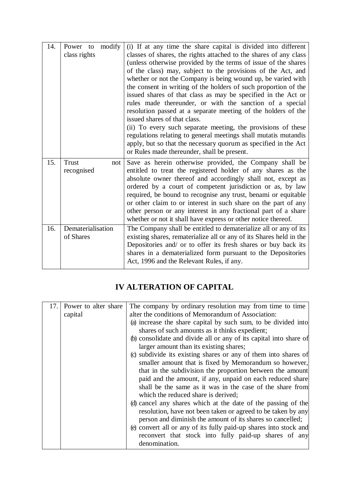| 14. | modify<br>Power to<br>class rights | (i) If at any time the share capital is divided into different<br>classes of shares, the rights attached to the shares of any class<br>(unless otherwise provided by the terms of issue of the shares<br>of the class) may, subject to the provisions of the Act, and<br>whether or not the Company is being wound up, be varied with<br>the consent in writing of the holders of such proportion of the<br>issued shares of that class as may be specified in the Act or<br>rules made thereunder, or with the sanction of a special<br>resolution passed at a separate meeting of the holders of the<br>issued shares of that class.<br>(ii) To every such separate meeting, the provisions of these<br>regulations relating to general meetings shall mutatis mutandis<br>apply, but so that the necessary quorum as specified in the Act<br>or Rules made thereunder, shall be present. |
|-----|------------------------------------|---------------------------------------------------------------------------------------------------------------------------------------------------------------------------------------------------------------------------------------------------------------------------------------------------------------------------------------------------------------------------------------------------------------------------------------------------------------------------------------------------------------------------------------------------------------------------------------------------------------------------------------------------------------------------------------------------------------------------------------------------------------------------------------------------------------------------------------------------------------------------------------------|
| 15. | <b>Trust</b><br>not<br>recognised  | Save as herein otherwise provided, the Company shall be<br>entitled to treat the registered holder of any shares as the<br>absolute owner thereof and accordingly shall not, except as<br>ordered by a court of competent jurisdiction or as, by law<br>required, be bound to recognise any trust, benami or equitable<br>or other claim to or interest in such share on the part of any<br>other person or any interest in any fractional part of a share<br>whether or not it shall have express or other notice thereof.                                                                                                                                                                                                                                                                                                                                                                 |
| 16. | Dematerialisation<br>of Shares     | The Company shall be entitled to dematerialize all or any of its<br>existing shares, rematerialize all or any of its Shares held in the<br>Depositories and/ or to offer its fresh shares or buy back its<br>shares in a dematerialized form pursuant to the Depositories<br>Act, 1996 and the Relevant Rules, if any.                                                                                                                                                                                                                                                                                                                                                                                                                                                                                                                                                                      |

## **IV ALTERATION OF CAPITAL**

| 17. | Power to alter share | The company by ordinary resolution may from time to time           |
|-----|----------------------|--------------------------------------------------------------------|
|     | capital              | alter the conditions of Memorandum of Association:                 |
|     |                      | (a) increase the share capital by such sum, to be divided into     |
|     |                      | shares of such amounts as it thinks expedient;                     |
|     |                      | (b) consolidate and divide all or any of its capital into share of |
|     |                      | larger amount than its existing shares;                            |
|     |                      | (c) subdivide its existing shares or any of them into shares of    |
|     |                      | smaller amount that is fixed by Memorandum so however,             |
|     |                      | that in the subdivision the proportion between the amount          |
|     |                      | paid and the amount, if any, unpaid on each reduced share          |
|     |                      | shall be the same as it was in the case of the share from          |
|     |                      | which the reduced share is derived;                                |
|     |                      | (d) cancel any shares which at the date of the passing of the      |
|     |                      | resolution, have not been taken or agreed to be taken by any       |
|     |                      | person and diminish the amount of its shares so cancelled;         |
|     |                      | (e) convert all or any of its fully paid-up shares into stock and  |
|     |                      | reconvert that stock into fully paid-up shares of any              |
|     |                      | denomination.                                                      |
|     |                      |                                                                    |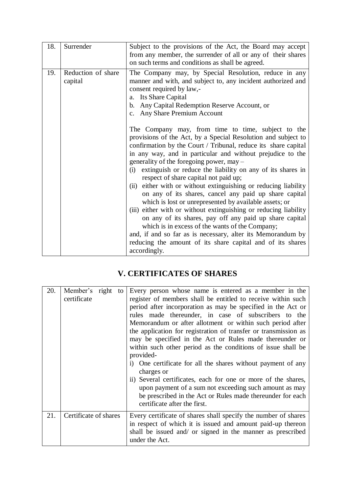| 18. | Surrender                     | Subject to the provisions of the Act, the Board may accept<br>from any member, the surrender of all or any of their shares<br>on such terms and conditions as shall be agreed.                                                                                                                                                                                                                                                                                                                                                                                                                                                                                                                                                                                                                                                                                                                                                         |
|-----|-------------------------------|----------------------------------------------------------------------------------------------------------------------------------------------------------------------------------------------------------------------------------------------------------------------------------------------------------------------------------------------------------------------------------------------------------------------------------------------------------------------------------------------------------------------------------------------------------------------------------------------------------------------------------------------------------------------------------------------------------------------------------------------------------------------------------------------------------------------------------------------------------------------------------------------------------------------------------------|
| 19. | Reduction of share<br>capital | The Company may, by Special Resolution, reduce in any<br>manner and with, and subject to, any incident authorized and<br>consent required by law,-<br>a. Its Share Capital<br>b. Any Capital Redemption Reserve Account, or<br>c. Any Share Premium Account                                                                                                                                                                                                                                                                                                                                                                                                                                                                                                                                                                                                                                                                            |
|     |                               | The Company may, from time to time, subject to the<br>provisions of the Act, by a Special Resolution and subject to<br>confirmation by the Court / Tribunal, reduce its share capital<br>in any way, and in particular and without prejudice to the<br>generality of the foregoing power, may -<br>extinguish or reduce the liability on any of its shares in<br>(i)<br>respect of share capital not paid up;<br>either with or without extinguishing or reducing liability<br>(ii)<br>on any of its shares, cancel any paid up share capital<br>which is lost or unrepresented by available assets; or<br>(iii) either with or without extinguishing or reducing liability<br>on any of its shares, pay off any paid up share capital<br>which is in excess of the wants of the Company;<br>and, if and so far as is necessary, alter its Memorandum by<br>reducing the amount of its share capital and of its shares<br>accordingly. |

## **V. CERTIFICATES OF SHARES**

| 20. | Member's right<br>certificate | Every person whose name is entered as a member in the<br>to<br>register of members shall be entitled to receive within such<br>period after incorporation as may be specified in the Act or<br>rules made thereunder, in case of subscribers to the<br>Memorandum or after allotment or within such period after<br>the application for registration of transfer or transmission as<br>may be specified in the Act or Rules made thereunder or<br>within such other period as the conditions of issue shall be<br>provided-<br>i) One certificate for all the shares without payment of any<br>charges or<br>ii) Several certificates, each for one or more of the shares,<br>upon payment of a sum not exceeding such amount as may<br>be prescribed in the Act or Rules made thereunder for each<br>certificate after the first. |
|-----|-------------------------------|------------------------------------------------------------------------------------------------------------------------------------------------------------------------------------------------------------------------------------------------------------------------------------------------------------------------------------------------------------------------------------------------------------------------------------------------------------------------------------------------------------------------------------------------------------------------------------------------------------------------------------------------------------------------------------------------------------------------------------------------------------------------------------------------------------------------------------|
| 21. | Certificate of shares         | Every certificate of shares shall specify the number of shares<br>in respect of which it is issued and amount paid-up thereon<br>shall be issued and/ or signed in the manner as prescribed<br>under the Act.                                                                                                                                                                                                                                                                                                                                                                                                                                                                                                                                                                                                                      |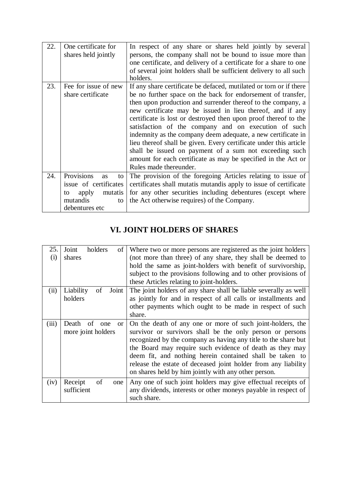| 22. | One certificate for<br>shares held jointly                                                                           | In respect of any share or shares held jointly by several<br>persons, the company shall not be bound to issue more than<br>one certificate, and delivery of a certificate for a share to one<br>of several joint holders shall be sufficient delivery to all such<br>holders.                                                                                                                                                                                                                                                                                                                                                                                                        |
|-----|----------------------------------------------------------------------------------------------------------------------|--------------------------------------------------------------------------------------------------------------------------------------------------------------------------------------------------------------------------------------------------------------------------------------------------------------------------------------------------------------------------------------------------------------------------------------------------------------------------------------------------------------------------------------------------------------------------------------------------------------------------------------------------------------------------------------|
| 23. | Fee for issue of new<br>share certificate                                                                            | If any share certificate be defaced, mutilated or torn or if there<br>be no further space on the back for endorsement of transfer,<br>then upon production and surrender thereof to the company, a<br>new certificate may be issued in lieu thereof, and if any<br>certificate is lost or destroyed then upon proof thereof to the<br>satisfaction of the company and on execution of such<br>indemnity as the company deem adequate, a new certificate in<br>lieu thereof shall be given. Every certificate under this article<br>shall be issued on payment of a sum not exceeding such<br>amount for each certificate as may be specified in the Act or<br>Rules made thereunder. |
| 24. | Provisions<br><b>as</b><br>to<br>issue of certificates<br>apply<br>mutatis<br>to<br>mutandis<br>to<br>debentures etc | The provision of the foregoing Articles relating to issue of<br>certificates shall mutatis mutandis apply to issue of certificate<br>for any other securities including debentures (except where<br>the Act otherwise requires) of the Company.                                                                                                                                                                                                                                                                                                                                                                                                                                      |

## **VI. JOINT HOLDERS OF SHARES**

| 25.<br>$\rm(i)$ | Joint<br>holders<br>οf<br>shares    | Where two or more persons are registered as the joint holders<br>(not more than three) of any share, they shall be deemed to |
|-----------------|-------------------------------------|------------------------------------------------------------------------------------------------------------------------------|
|                 |                                     | hold the same as joint-holders with benefit of survivorship,                                                                 |
|                 |                                     | subject to the provisions following and to other provisions of                                                               |
|                 |                                     | these Articles relating to joint-holders.                                                                                    |
| (ii)            | Liability<br>Joint<br>οf            | The joint holders of any share shall be liable severally as well                                                             |
|                 | holders                             | as jointly for and in respect of all calls or installments and                                                               |
|                 |                                     | other payments which ought to be made in respect of such                                                                     |
|                 |                                     | share.                                                                                                                       |
| (iii)           | Death<br>of<br>one<br><sub>or</sub> | On the death of any one or more of such joint-holders, the                                                                   |
|                 | more joint holders                  | survivor or survivors shall be the only person or persons                                                                    |
|                 |                                     | recognized by the company as having any title to the share but                                                               |
|                 |                                     | the Board may require such evidence of death as they may                                                                     |
|                 |                                     | deem fit, and nothing herein contained shall be taken to                                                                     |
|                 |                                     | release the estate of deceased joint holder from any liability                                                               |
|                 |                                     | on shares held by him jointly with any other person.                                                                         |
| (iv)            | of<br>Receipt<br>one                | Any one of such joint holders may give effectual receipts of                                                                 |
|                 | sufficient                          | any dividends, interests or other moneys payable in respect of                                                               |
|                 |                                     | such share.                                                                                                                  |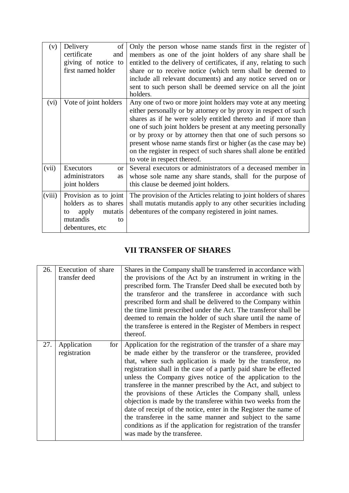| (v)    | Delivery<br>of                                                                                               | Only the person whose name stands first in the register of                                                                                                                                                                                                                                                                                                                                                                                                                                              |
|--------|--------------------------------------------------------------------------------------------------------------|---------------------------------------------------------------------------------------------------------------------------------------------------------------------------------------------------------------------------------------------------------------------------------------------------------------------------------------------------------------------------------------------------------------------------------------------------------------------------------------------------------|
|        | certificate<br>and                                                                                           | members as one of the joint holders of any share shall be                                                                                                                                                                                                                                                                                                                                                                                                                                               |
|        | giving of notice to                                                                                          | entitled to the delivery of certificates, if any, relating to such                                                                                                                                                                                                                                                                                                                                                                                                                                      |
|        | first named holder                                                                                           | share or to receive notice (which term shall be deemed to                                                                                                                                                                                                                                                                                                                                                                                                                                               |
|        |                                                                                                              | include all relevant documents) and any notice served on or                                                                                                                                                                                                                                                                                                                                                                                                                                             |
|        |                                                                                                              | sent to such person shall be deemed service on all the joint<br>holders.                                                                                                                                                                                                                                                                                                                                                                                                                                |
| (vi)   | Vote of joint holders                                                                                        | Any one of two or more joint holders may vote at any meeting<br>either personally or by attorney or by proxy in respect of such<br>shares as if he were solely entitled thereto and if more than<br>one of such joint holders be present at any meeting personally<br>or by proxy or by attorney then that one of such persons so<br>present whose name stands first or higher (as the case may be)<br>on the register in respect of such shares shall alone be entitled<br>to vote in respect thereof. |
| (vii)  | Executors<br><b>or</b><br>administrators<br>as<br>joint holders                                              | Several executors or administrators of a deceased member in<br>whose sole name any share stands, shall for the purpose of<br>this clause be deemed joint holders.                                                                                                                                                                                                                                                                                                                                       |
| (viii) | Provision as to joint<br>holders as to shares<br>mutatis<br>apply<br>to<br>mutandis<br>to<br>debentures, etc | The provision of the Articles relating to joint holders of shares<br>shall mutatis mutandis apply to any other securities including<br>debentures of the company registered in joint names.                                                                                                                                                                                                                                                                                                             |

## **VII TRANSFER OF SHARES**

| 26. | Execution of share<br>transfer deed  | Shares in the Company shall be transferred in accordance with<br>the provisions of the Act by an instrument in writing in the<br>prescribed form. The Transfer Deed shall be executed both by<br>the transferor and the transferee in accordance with such<br>prescribed form and shall be delivered to the Company within<br>the time limit prescribed under the Act. The transferor shall be<br>deemed to remain the holder of such share until the name of<br>the transferee is entered in the Register of Members in respect<br>thereof.                                                                                                                                                                                                                          |
|-----|--------------------------------------|-----------------------------------------------------------------------------------------------------------------------------------------------------------------------------------------------------------------------------------------------------------------------------------------------------------------------------------------------------------------------------------------------------------------------------------------------------------------------------------------------------------------------------------------------------------------------------------------------------------------------------------------------------------------------------------------------------------------------------------------------------------------------|
| 27. | Application<br>for  <br>registration | Application for the registration of the transfer of a share may<br>be made either by the transferor or the transferee, provided<br>that, where such application is made by the transferor, no<br>registration shall in the case of a partly paid share be effected<br>unless the Company gives notice of the application to the<br>transferee in the manner prescribed by the Act, and subject to<br>the provisions of these Articles the Company shall, unless<br>objection is made by the transferee within two weeks from the<br>date of receipt of the notice, enter in the Register the name of<br>the transferee in the same manner and subject to the same<br>conditions as if the application for registration of the transfer<br>was made by the transferee. |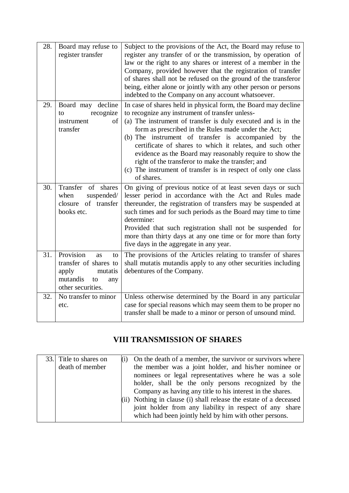| 28. | Board may refuse to<br>register transfer                                                                                | Subject to the provisions of the Act, the Board may refuse to<br>register any transfer of or the transmission, by operation of<br>law or the right to any shares or interest of a member in the<br>Company, provided however that the registration of transfer<br>of shares shall not be refused on the ground of the transferor<br>being, either alone or jointly with any other person or persons<br>indebted to the Company on any account whatsoever.                                                                                                       |
|-----|-------------------------------------------------------------------------------------------------------------------------|-----------------------------------------------------------------------------------------------------------------------------------------------------------------------------------------------------------------------------------------------------------------------------------------------------------------------------------------------------------------------------------------------------------------------------------------------------------------------------------------------------------------------------------------------------------------|
| 29. | Board may decline<br>recognize<br>to<br>of<br>instrument<br>transfer                                                    | In case of shares held in physical form, the Board may decline<br>to recognize any instrument of transfer unless-<br>(a) The instrument of transfer is duly executed and is in the<br>form as prescribed in the Rules made under the Act;<br>(b) The instrument of transfer is accompanied by the<br>certificate of shares to which it relates, and such other<br>evidence as the Board may reasonably require to show the<br>right of the transferor to make the transfer; and<br>(c) The instrument of transfer is in respect of only one class<br>of shares. |
| 30. | Transfer<br>of shares<br>when<br>suspended/<br>of transfer<br>closure<br>books etc.                                     | On giving of previous notice of at least seven days or such<br>lesser period in accordance with the Act and Rules made<br>thereunder, the registration of transfers may be suspended at<br>such times and for such periods as the Board may time to time<br>determine:<br>Provided that such registration shall not be suspended for<br>more than thirty days at any one time or for more than forty<br>five days in the aggregate in any year.                                                                                                                 |
| 31. | Provision<br><b>as</b><br>to<br>transfer of shares to<br>apply<br>mutatis<br>mutandis<br>to<br>any<br>other securities. | The provisions of the Articles relating to transfer of shares<br>shall mutatis mutandis apply to any other securities including<br>debentures of the Company.                                                                                                                                                                                                                                                                                                                                                                                                   |
| 32. | No transfer to minor<br>etc.                                                                                            | Unless otherwise determined by the Board in any particular<br>case for special reasons which may seem them to be proper no<br>transfer shall be made to a minor or person of unsound mind.                                                                                                                                                                                                                                                                                                                                                                      |

## **VIII TRANSMISSION OF SHARES**

| 33. Title to shares on | On the death of a member, the survivor or survivors where    |
|------------------------|--------------------------------------------------------------|
| death of member        | the member was a joint holder, and his/her nominee or        |
|                        | nominees or legal representatives where he was a sole        |
|                        | holder, shall be the only persons recognized by the          |
|                        | Company as having any title to his interest in the shares.   |
|                        | Nothing in clause (i) shall release the estate of a deceased |
|                        | joint holder from any liability in respect of any share      |
|                        | which had been jointly held by him with other persons.       |
|                        |                                                              |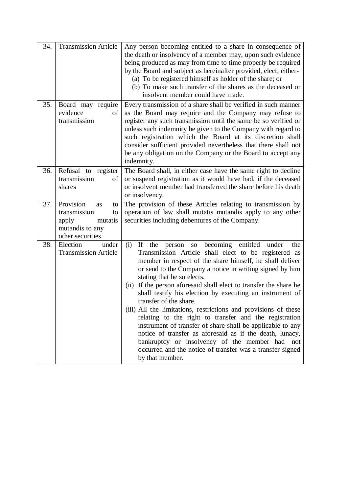| 34. | <b>Transmission Article</b>                                                                             | Any person becoming entitled to a share in consequence of<br>the death or insolvency of a member may, upon such evidence<br>being produced as may from time to time properly be required<br>by the Board and subject as hereinafter provided, elect, either-<br>(a) To be registered himself as holder of the share; or<br>(b) To make such transfer of the shares as the deceased or<br>insolvent member could have made.                                                                                                                                                                                                                                                                                                                                                                                                           |
|-----|---------------------------------------------------------------------------------------------------------|--------------------------------------------------------------------------------------------------------------------------------------------------------------------------------------------------------------------------------------------------------------------------------------------------------------------------------------------------------------------------------------------------------------------------------------------------------------------------------------------------------------------------------------------------------------------------------------------------------------------------------------------------------------------------------------------------------------------------------------------------------------------------------------------------------------------------------------|
| 35. | Board may require<br>evidence<br>of<br>transmission                                                     | Every transmission of a share shall be verified in such manner<br>as the Board may require and the Company may refuse to<br>register any such transmission until the same be so verified or<br>unless such indemnity be given to the Company with regard to<br>such registration which the Board at its discretion shall<br>consider sufficient provided nevertheless that there shall not<br>be any obligation on the Company or the Board to accept any<br>indemnity.                                                                                                                                                                                                                                                                                                                                                              |
| 36. | Refusal to register<br>transmission<br>of<br>shares                                                     | The Board shall, in either case have the same right to decline<br>or suspend registration as it would have had, if the deceased<br>or insolvent member had transferred the share before his death<br>or insolvency.                                                                                                                                                                                                                                                                                                                                                                                                                                                                                                                                                                                                                  |
| 37. | Provision<br>as<br>to<br>transmission<br>to<br>mutatis<br>apply<br>mutandis to any<br>other securities. | The provision of these Articles relating to transmission by<br>operation of law shall mutatis mutandis apply to any other<br>securities including debentures of the Company.                                                                                                                                                                                                                                                                                                                                                                                                                                                                                                                                                                                                                                                         |
| 38. | Election<br>under<br><b>Transmission Article</b>                                                        | so becoming entitled under<br>(i)<br>If<br>the<br>person<br>the<br>Transmission Article shall elect to be registered as<br>member in respect of the share himself, he shall deliver<br>or send to the Company a notice in writing signed by him<br>stating that he so elects.<br>If the person aforesaid shall elect to transfer the share he<br>(ii)<br>shall testify his election by executing an instrument of<br>transfer of the share.<br>(iii) All the limitations, restrictions and provisions of these<br>relating to the right to transfer and the registration<br>instrument of transfer of share shall be applicable to any<br>notice of transfer as aforesaid as if the death, lunacy,<br>bankruptcy or insolvency of the member had not<br>occurred and the notice of transfer was a transfer signed<br>by that member. |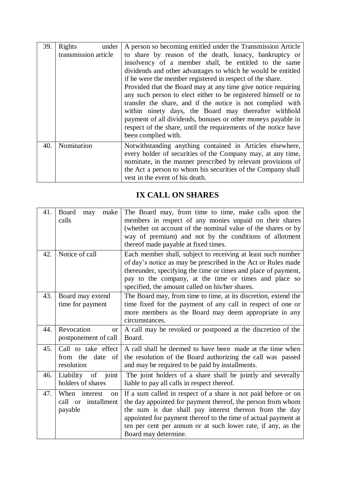| 39. | Rights<br>under      | A person so becoming entitled under the Transmission Article    |
|-----|----------------------|-----------------------------------------------------------------|
|     | transmission article | to share by reason of the death, lunacy, bankruptcy or          |
|     |                      | insolvency of a member shall, be entitled to the same           |
|     |                      | dividends and other advantages to which he would be entitled    |
|     |                      | if he were the member registered in respect of the share.       |
|     |                      | Provided that the Board may at any time give notice requiring   |
|     |                      | any such person to elect either to be registered himself or to  |
|     |                      | transfer the share, and if the notice is not complied with      |
|     |                      | within ninety days, the Board may thereafter withhold           |
|     |                      | payment of all dividends, bonuses or other moneys payable in    |
|     |                      | respect of the share, until the requirements of the notice have |
|     |                      | been complied with.                                             |
| 40. | Nomination           | Notwithstanding anything contained in Articles elsewhere,       |
|     |                      | every holder of securities of the Company may, at any time,     |
|     |                      | nominate, in the manner prescribed by relevant provisions of    |
|     |                      | the Act a person to whom his securities of the Company shall    |
|     |                      | vest in the event of his death.                                 |

## **IX CALL ON SHARES**

| 41. | Board<br>make<br>may<br>calls                               | The Board may, from time to time, make calls upon the<br>members in respect of any monies unpaid on their shares<br>(whether on account of the nominal value of the shares or by<br>way of premium) and not by the conditions of allotment<br>thereof made payable at fixed times.                                                                |
|-----|-------------------------------------------------------------|---------------------------------------------------------------------------------------------------------------------------------------------------------------------------------------------------------------------------------------------------------------------------------------------------------------------------------------------------|
| 42. | Notice of call                                              | Each member shall, subject to receiving at least such number<br>of day's notice as may be prescribed in the Act or Rules made<br>thereunder, specifying the time or times and place of payment,<br>pay to the company, at the time or times and place so<br>specified, the amount called on his/her shares.                                       |
| 43. | Board may extend<br>time for payment                        | The Board may, from time to time, at its discretion, extend the<br>time fixed for the payment of any call in respect of one or<br>more members as the Board may deem appropriate in any<br>circumstances.                                                                                                                                         |
| 44. | Revocation<br><b>or</b><br>postponement of call             | A call may be revoked or postponed at the discretion of the<br>Board.                                                                                                                                                                                                                                                                             |
| 45. | Call to take effect<br>from the date of<br>resolution       | A call shall be deemed to have been made at the time when<br>the resolution of the Board authorizing the call was passed<br>and may be required to be paid by installments.                                                                                                                                                                       |
| 46. | joint<br>Liability<br>-of<br>holders of shares              | The joint holders of a share shall be jointly and severally<br>liable to pay all calls in respect thereof.                                                                                                                                                                                                                                        |
| 47. | When<br>interest<br>on<br>installment<br>call or<br>payable | If a sum called in respect of a share is not paid before or on<br>the day appointed for payment thereof, the person from whom<br>the sum is due shall pay interest thereon from the day<br>appointed for payment thereof to the time of actual payment at<br>ten per cent per annum or at such lower rate, if any, as the<br>Board may determine. |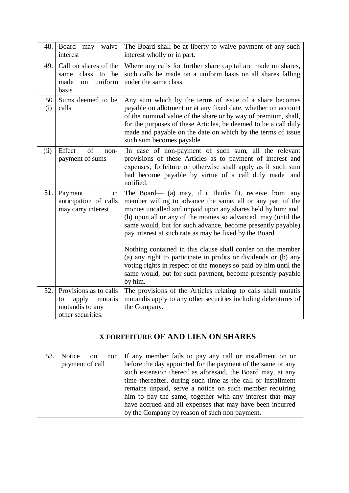| 48.        | Board may<br>waive<br>interest                                                                  | The Board shall be at liberty to waive payment of any such<br>interest wholly or in part.                                                                                                                                                                                                                                                                                                                                                                                                                                                                                           |
|------------|-------------------------------------------------------------------------------------------------|-------------------------------------------------------------------------------------------------------------------------------------------------------------------------------------------------------------------------------------------------------------------------------------------------------------------------------------------------------------------------------------------------------------------------------------------------------------------------------------------------------------------------------------------------------------------------------------|
| 49.        | Call on shares of the<br>class<br>be<br>to<br>same<br>uniform<br>made<br><sub>on</sub><br>basis | Where any calls for further share capital are made on shares,<br>such calls be made on a uniform basis on all shares falling<br>under the same class.                                                                                                                                                                                                                                                                                                                                                                                                                               |
| 50.<br>(i) | Sums deemed to be<br>calls                                                                      | Any sum which by the terms of issue of a share becomes<br>payable on allotment or at any fixed date, whether on account<br>of the nominal value of the share or by way of premium, shall,<br>for the purposes of these Articles, be deemed to be a call duly<br>made and payable on the date on which by the terms of issue<br>such sum becomes payable.                                                                                                                                                                                                                            |
| (ii)       | Effect<br>$\sigma$ f<br>$non-$<br>payment of sums                                               | In case of non-payment of such sum, all the relevant<br>provisions of these Articles as to payment of interest and<br>expenses, forfeiture or otherwise shall apply as if such sum<br>had become payable by virtue of a call duly made and<br>notified.                                                                                                                                                                                                                                                                                                                             |
| 51.        | in<br>Payment<br>anticipation of calls<br>may carry interest                                    | The Board— (a) may, if it thinks fit, receive from any<br>member willing to advance the same, all or any part of the<br>monies uncalled and unpaid upon any shares held by him; and<br>(b) upon all or any of the monies so advanced, may (until the<br>same would, but for such advance, become presently payable)<br>pay interest at such rate as may be fixed by the Board.<br>Nothing contained in this clause shall confer on the member<br>(a) any right to participate in profits or dividends or (b) any<br>voting rights in respect of the moneys so paid by him until the |
|            |                                                                                                 | same would, but for such payment, become presently payable<br>by him.                                                                                                                                                                                                                                                                                                                                                                                                                                                                                                               |
| 52.        | Provisions as to calls<br>apply<br>mutatis<br>to<br>mutandis to any<br>other securities.        | The provisions of the Articles relating to calls shall mutatis<br>mutandis apply to any other securities including debentures of<br>the Company.                                                                                                                                                                                                                                                                                                                                                                                                                                    |

## **X FORFEITURE OF AND LIEN ON SHARES**

| 53.1 |                 | Notice on non   If any member fails to pay any call or installment on or |
|------|-----------------|--------------------------------------------------------------------------|
|      | payment of call | before the day appointed for the payment of the same or any              |
|      |                 | such extension thereof as aforesaid, the Board may, at any               |
|      |                 | time thereafter, during such time as the call or installment             |
|      |                 | remains unpaid, serve a notice on such member requiring                  |
|      |                 | him to pay the same, together with any interest that may                 |
|      |                 | have accrued and all expenses that may have been incurred                |
|      |                 | by the Company by reason of such non payment.                            |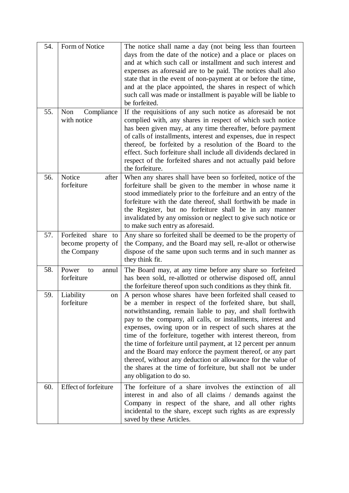| 54. | Form of Notice                                             | The notice shall name a day (not being less than fourteen<br>days from the date of the notice) and a place or places on<br>and at which such call or installment and such interest and<br>expenses as aforesaid are to be paid. The notices shall also<br>state that in the event of non-payment at or before the time,<br>and at the place appointed, the shares in respect of which<br>such call was made or installment is payable will be liable to<br>be forfeited.                                                                                                                                                                                                    |
|-----|------------------------------------------------------------|-----------------------------------------------------------------------------------------------------------------------------------------------------------------------------------------------------------------------------------------------------------------------------------------------------------------------------------------------------------------------------------------------------------------------------------------------------------------------------------------------------------------------------------------------------------------------------------------------------------------------------------------------------------------------------|
| 55. | Compliance<br>Non<br>with notice                           | If the requisitions of any such notice as aforesaid be not<br>complied with, any shares in respect of which such notice<br>has been given may, at any time thereafter, before payment<br>of calls of installments, interest and expenses, due in respect<br>thereof, be forfeited by a resolution of the Board to the<br>effect. Such forfeiture shall include all dividends declared in<br>respect of the forfeited shares and not actually paid before<br>the forfeiture.                                                                                                                                                                                                 |
| 56. | Notice<br>after<br>forfeiture                              | When any shares shall have been so forfeited, notice of the<br>forfeiture shall be given to the member in whose name it<br>stood immediately prior to the forfeiture and an entry of the<br>forfeiture with the date thereof, shall forthwith be made in<br>the Register, but no forfeiture shall be in any manner<br>invalidated by any omission or neglect to give such notice or<br>to make such entry as aforesaid.                                                                                                                                                                                                                                                     |
| 57. | Forfeited share<br>to<br>become property of<br>the Company | Any share so forfeited shall be deemed to be the property of<br>the Company, and the Board may sell, re-allot or otherwise<br>dispose of the same upon such terms and in such manner as<br>they think fit.                                                                                                                                                                                                                                                                                                                                                                                                                                                                  |
| 58. | Power<br>to<br>annul<br>forfeiture                         | The Board may, at any time before any share so forfeited<br>has been sold, re-allotted or otherwise disposed off, annul<br>the forfeiture thereof upon such conditions as they think fit.                                                                                                                                                                                                                                                                                                                                                                                                                                                                                   |
| 59. | Liability<br>on<br>forfeiture                              | A person whose shares have been forfeited shall ceased to<br>be a member in respect of the forfeited share, but shall,<br>notwithstanding, remain liable to pay, and shall forthwith<br>pay to the company, all calls, or installments, interest and<br>expenses, owing upon or in respect of such shares at the<br>time of the forfeiture, together with interest thereon, from<br>the time of forfeiture until payment, at 12 percent per annum<br>and the Board may enforce the payment thereof, or any part<br>thereof, without any deduction or allowance for the value of<br>the shares at the time of forfeiture, but shall not be under<br>any obligation to do so. |
| 60. | Effect of forfeiture                                       | The forfeiture of a share involves the extinction of all<br>interest in and also of all claims / demands against the                                                                                                                                                                                                                                                                                                                                                                                                                                                                                                                                                        |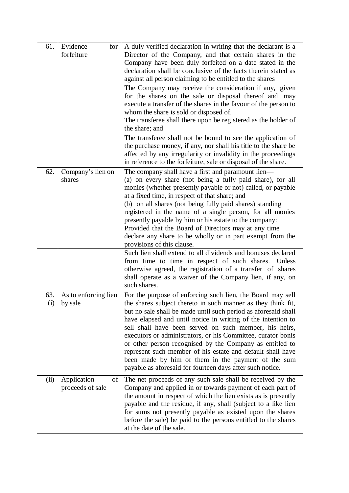| 61.  | Evidence<br>for<br>forfeiture           | A duly verified declaration in writing that the declarant is a<br>Director of the Company, and that certain shares in the<br>Company have been duly forfeited on a date stated in the<br>declaration shall be conclusive of the facts therein stated as<br>against all person claiming to be entitled to the shares<br>The Company may receive the consideration if any, given<br>for the shares on the sale or disposal thereof and may<br>execute a transfer of the shares in the favour of the person to<br>whom the share is sold or disposed of.<br>The transferee shall there upon be registered as the holder of<br>the share; and<br>The transferee shall not be bound to see the application of<br>the purchase money, if any, nor shall his title to the share be<br>affected by any irregularity or invalidity in the proceedings<br>in reference to the forfeiture, sale or disposal of the share. |
|------|-----------------------------------------|----------------------------------------------------------------------------------------------------------------------------------------------------------------------------------------------------------------------------------------------------------------------------------------------------------------------------------------------------------------------------------------------------------------------------------------------------------------------------------------------------------------------------------------------------------------------------------------------------------------------------------------------------------------------------------------------------------------------------------------------------------------------------------------------------------------------------------------------------------------------------------------------------------------|
| 62.  | Company's lien on<br>shares             | The company shall have a first and paramount lien—<br>(a) on every share (not being a fully paid share), for all<br>monies (whether presently payable or not) called, or payable<br>at a fixed time, in respect of that share; and<br>(b) on all shares (not being fully paid shares) standing<br>registered in the name of a single person, for all monies<br>presently payable by him or his estate to the company:<br>Provided that the Board of Directors may at any time<br>declare any share to be wholly or in part exempt from the<br>provisions of this clause.                                                                                                                                                                                                                                                                                                                                       |
|      |                                         | Such lien shall extend to all dividends and bonuses declared<br>from time to time in respect of such shares. Unless<br>otherwise agreed, the registration of a transfer of shares<br>shall operate as a waiver of the Company lien, if any, on<br>such shares.                                                                                                                                                                                                                                                                                                                                                                                                                                                                                                                                                                                                                                                 |
| 63.  | As to enforcing lien<br>$(i)$   by sale | For the purpose of enforcing such lien, the Board may sell<br>the shares subject thereto in such manner as they think fit,<br>but no sale shall be made until such period as aforesaid shall<br>have elapsed and until notice in writing of the intention to<br>sell shall have been served on such member, his heirs,<br>executors or administrators, or his Committee, curator bonis<br>or other person recognised by the Company as entitled to<br>represent such member of his estate and default shall have<br>been made by him or them in the payment of the sum<br>payable as aforesaid for fourteen days after such notice.                                                                                                                                                                                                                                                                            |
| (ii) | Application<br>of<br>proceeds of sale   | The net proceeds of any such sale shall be received by the<br>Company and applied in or towards payment of each part of<br>the amount in respect of which the lien exists as is presently<br>payable and the residue, if any, shall (subject to a like lien<br>for sums not presently payable as existed upon the shares<br>before the sale) be paid to the persons entitled to the shares<br>at the date of the sale.                                                                                                                                                                                                                                                                                                                                                                                                                                                                                         |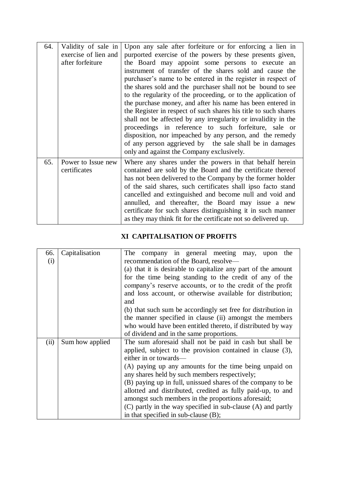| 64. | Validity of sale in<br>exercise of lien and<br>after forfeiture | Upon any sale after forfeiture or for enforcing a lien in<br>purported exercise of the powers by these presents given,<br>the Board may appoint some persons to execute an<br>instrument of transfer of the shares sold and cause the<br>purchaser's name to be entered in the register in respect of<br>the shares sold and the purchaser shall not be bound to see<br>to the regularity of the proceeding, or to the application of<br>the purchase money, and after his name has been entered in<br>the Register in respect of such shares his title to such shares<br>shall not be affected by any irregularity or invalidity in the<br>proceedings in reference to such forfeiture, sale or<br>disposition, nor impeached by any person, and the remedy<br>of any person aggrieved by the sale shall be in damages<br>only and against the Company exclusively. |
|-----|-----------------------------------------------------------------|----------------------------------------------------------------------------------------------------------------------------------------------------------------------------------------------------------------------------------------------------------------------------------------------------------------------------------------------------------------------------------------------------------------------------------------------------------------------------------------------------------------------------------------------------------------------------------------------------------------------------------------------------------------------------------------------------------------------------------------------------------------------------------------------------------------------------------------------------------------------|
| 65. | Power to Issue new<br>certificates                              | Where any shares under the powers in that behalf herein<br>contained are sold by the Board and the certificate thereof<br>has not been delivered to the Company by the former holder<br>of the said shares, such certificates shall ipso facto stand<br>cancelled and extinguished and become null and void and<br>annulled, and thereafter, the Board may issue a new<br>certificate for such shares distinguishing it in such manner<br>as they may think fit for the certificate not so delivered up.                                                                                                                                                                                                                                                                                                                                                             |

### **XI CAPITALISATION OF PROFITS**

| 66.<br>(i) | Capitalisation  | The company in general meeting may, upon<br>the<br>recommendation of the Board, resolve—<br>(a) that it is desirable to capitalize any part of the amount<br>for the time being standing to the credit of any of the<br>company's reserve accounts, or to the credit of the profit<br>and loss account, or otherwise available for distribution;<br>and                                                                                                                                                                                                |
|------------|-----------------|--------------------------------------------------------------------------------------------------------------------------------------------------------------------------------------------------------------------------------------------------------------------------------------------------------------------------------------------------------------------------------------------------------------------------------------------------------------------------------------------------------------------------------------------------------|
|            |                 | (b) that such sum be accordingly set free for distribution in<br>the manner specified in clause (ii) amongst the members<br>who would have been entitled thereto, if distributed by way<br>of dividend and in the same proportions.                                                                                                                                                                                                                                                                                                                    |
| (ii)       | Sum how applied | The sum aforesaid shall not be paid in cash but shall be<br>applied, subject to the provision contained in clause (3),<br>either in or towards—<br>(A) paying up any amounts for the time being unpaid on<br>any shares held by such members respectively;<br>(B) paying up in full, unissued shares of the company to be<br>allotted and distributed, credited as fully paid-up, to and<br>amongst such members in the proportions aforesaid;<br>(C) partly in the way specified in sub-clause (A) and partly<br>in that specified in sub-clause (B); |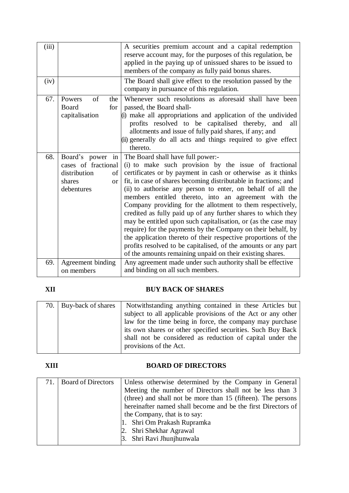| (iii) |                                                                                                       | A securities premium account and a capital redemption<br>reserve account may, for the purposes of this regulation, be<br>applied in the paying up of unissued shares to be issued to<br>members of the company as fully paid bonus shares.                                                                                                                                                                                                                                                                                                                                                                                                                                                                                                                                                                           |
|-------|-------------------------------------------------------------------------------------------------------|----------------------------------------------------------------------------------------------------------------------------------------------------------------------------------------------------------------------------------------------------------------------------------------------------------------------------------------------------------------------------------------------------------------------------------------------------------------------------------------------------------------------------------------------------------------------------------------------------------------------------------------------------------------------------------------------------------------------------------------------------------------------------------------------------------------------|
| (iv)  |                                                                                                       | The Board shall give effect to the resolution passed by the<br>company in pursuance of this regulation.                                                                                                                                                                                                                                                                                                                                                                                                                                                                                                                                                                                                                                                                                                              |
| 67.   | of<br>Powers<br>the<br>Board<br>for<br>capitalisation                                                 | Whenever such resolutions as aforesaid shall have been<br>passed, the Board shall-<br>(i) make all appropriations and application of the undivided<br>profits resolved to be capitalised thereby, and<br>all<br>allotments and issue of fully paid shares, if any; and<br>(ii) generally do all acts and things required to give effect<br>thereto.                                                                                                                                                                                                                                                                                                                                                                                                                                                                  |
| 68.   | Board's power<br>in<br>cases of fractional<br>distribution<br>of<br>shares<br><b>or</b><br>debentures | The Board shall have full power:-<br>(i) to make such provision by the issue of fractional<br>certificates or by payment in cash or otherwise as it thinks<br>fit, in case of shares becoming distributable in fractions; and<br>(ii) to authorise any person to enter, on behalf of all the<br>members entitled thereto, into an agreement with the<br>Company providing for the allotment to them respectively,<br>credited as fully paid up of any further shares to which they<br>may be entitled upon such capitalisation, or (as the case may<br>require) for the payments by the Company on their behalf, by<br>the application thereto of their respective proportions of the<br>profits resolved to be capitalised, of the amounts or any part<br>of the amounts remaining unpaid on their existing shares. |
| 69.   | Agreement binding<br>on members                                                                       | Any agreement made under such authority shall be effective<br>and binding on all such members.                                                                                                                                                                                                                                                                                                                                                                                                                                                                                                                                                                                                                                                                                                                       |

## **XII BUY BACK OF SHARES**

| 70. Buy-back of shares | Notwithstanding anything contained in these Articles but     |
|------------------------|--------------------------------------------------------------|
|                        | subject to all applicable provisions of the Act or any other |
|                        | law for the time being in force, the company may purchase    |
|                        | its own shares or other specified securities. Such Buy Back  |
|                        | shall not be considered as reduction of capital under the    |
|                        | provisions of the Act.                                       |

### **XIII BOARD OF DIRECTORS**

| 71. | <b>Board of Directors</b> | Unless otherwise determined by the Company in General        |
|-----|---------------------------|--------------------------------------------------------------|
|     |                           | Meeting the number of Directors shall not be less than 3     |
|     |                           | (three) and shall not be more than 15 (fifteen). The persons |
|     |                           | hereinafter named shall become and be the first Directors of |
|     |                           | the Company, that is to say:                                 |
|     |                           | 1. Shri Om Prakash Rupramka                                  |
|     |                           | 2. Shri Shekhar Agrawal                                      |
|     |                           | 3. Shri Ravi Jhunjhunwala                                    |
|     |                           |                                                              |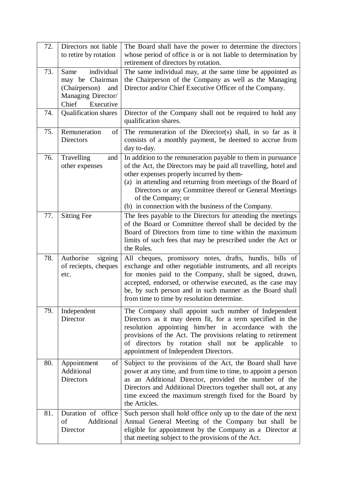| 72. | Directors not liable<br>to retire by rotation                                                             | The Board shall have the power to determine the directors<br>whose period of office is or is not liable to determination by<br>retirement of directors by rotation.                                                                                                                                                                                                                 |
|-----|-----------------------------------------------------------------------------------------------------------|-------------------------------------------------------------------------------------------------------------------------------------------------------------------------------------------------------------------------------------------------------------------------------------------------------------------------------------------------------------------------------------|
| 73. | individual<br>Same<br>may be Chairman<br>(Chairperson)<br>and<br>Managing Director/<br>Chief<br>Executive | The same individual may, at the same time be appointed as<br>the Chairperson of the Company as well as the Managing<br>Director and/or Chief Executive Officer of the Company.                                                                                                                                                                                                      |
| 74. | <b>Qualification shares</b>                                                                               | Director of the Company shall not be required to hold any<br>qualification shares.                                                                                                                                                                                                                                                                                                  |
| 75. | Remuneration<br>of<br>Directors                                                                           | The remuneration of the Director(s) shall, in so far as it<br>consists of a monthly payment, be deemed to accrue from<br>day to-day.                                                                                                                                                                                                                                                |
| 76. | Travelling<br>and<br>other expenses                                                                       | In addition to the remuneration payable to them in pursuance<br>of the Act, the Directors may be paid all travelling, hotel and<br>other expenses properly incurred by them-<br>(a) in attending and returning from meetings of the Board of<br>Directors or any Committee thereof or General Meetings<br>of the Company; or<br>(b) in connection with the business of the Company. |
| 77. | <b>Sitting Fee</b>                                                                                        | The fees payable to the Directors for attending the meetings<br>of the Board or Committee thereof shall be decided by the<br>Board of Directors from time to time within the maximum<br>limits of such fees that may be prescribed under the Act or<br>the Rules.                                                                                                                   |
| 78. | Authorise<br>signing<br>of reciepts, cheques<br>etc.                                                      | All cheques, promissory notes, drafts, hundis, bills of<br>exchange and other negotiable instruments, and all receipts<br>for monies paid to the Company, shall be signed, drawn,<br>accepted, endorsed, or otherwise executed, as the case may<br>be, by such person and in such manner as the Board shall<br>from time to time by resolution determine.                           |
| 79. | Independent<br>Director                                                                                   | The Company shall appoint such number of Independent<br>Directors as it may deem fit, for a term specified in the<br>resolution appointing him/her in accordance with the<br>provisions of the Act. The provisions relating to retirement<br>of directors by rotation shall not be applicable<br>to<br>appointment of Independent Directors.                                        |
| 80. | Appointment<br>of<br>Additional<br><b>Directors</b>                                                       | Subject to the provisions of the Act, the Board shall have<br>power at any time, and from time to time, to appoint a person<br>as an Additional Director, provided the number of the<br>Directors and Additional Directors together shall not, at any<br>time exceed the maximum strength fixed for the Board by<br>the Articles.                                                   |
| 81. | Duration of office<br>Additional<br>of<br>Director                                                        | Such person shall hold office only up to the date of the next<br>Annual General Meeting of the Company but shall be<br>eligible for appointment by the Company as a Director at<br>that meeting subject to the provisions of the Act.                                                                                                                                               |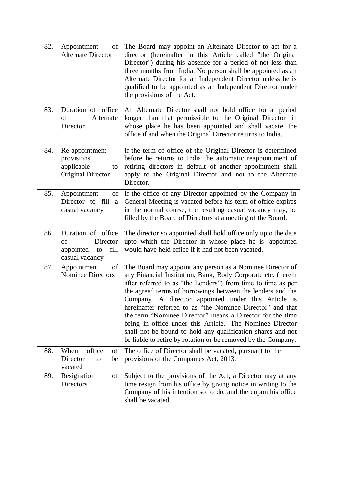| 82. | Appointment<br>of<br><b>Alternate Director</b>                                    | The Board may appoint an Alternate Director to act for a<br>director (hereinafter in this Article called "the Original<br>Director") during his absence for a period of not less than<br>three months from India. No person shall be appointed as an<br>Alternate Director for an Independent Director unless he is<br>qualified to be appointed as an Independent Director under<br>the provisions of the Act.                                                                                                                                                                                                                       |
|-----|-----------------------------------------------------------------------------------|---------------------------------------------------------------------------------------------------------------------------------------------------------------------------------------------------------------------------------------------------------------------------------------------------------------------------------------------------------------------------------------------------------------------------------------------------------------------------------------------------------------------------------------------------------------------------------------------------------------------------------------|
| 83. | Duration of office<br>of<br>Alternate<br>Director                                 | An Alternate Director shall not hold office for a period<br>longer than that permissible to the Original Director in<br>whose place he has been appointed and shall vacate the<br>office if and when the Original Director returns to India.                                                                                                                                                                                                                                                                                                                                                                                          |
| 84. | Re-appointment<br>provisions<br>applicable<br>to<br><b>Original Director</b>      | If the term of office of the Original Director is determined<br>before he returns to India the automatic reappointment of<br>retiring directors in default of another appointment shall<br>apply to the Original Director and not to the Alternate<br>Director.                                                                                                                                                                                                                                                                                                                                                                       |
| 85. | Appointment<br>of<br>Director to fill<br>a<br>casual vacancy                      | If the office of any Director appointed by the Company in<br>General Meeting is vacated before his term of office expires<br>in the normal course, the resulting casual vacancy may, be<br>filled by the Board of Directors at a meeting of the Board.                                                                                                                                                                                                                                                                                                                                                                                |
| 86. | Duration of office<br>Director<br>οf<br>fill<br>appointed<br>to<br>casual vacancy | The director so appointed shall hold office only upto the date<br>upto which the Director in whose place he is appointed<br>would have held office if it had not been vacated.                                                                                                                                                                                                                                                                                                                                                                                                                                                        |
| 87. | Appointment<br>of<br><b>Nominee Directors</b>                                     | The Board may appoint any person as a Nominee Director of<br>any Financial Institution, Bank, Body Corporate etc. (herein<br>after referred to as "the Lenders") from time to time as per<br>the agreed terms of borrowings between the lenders and the<br>Company. A director appointed under this Article is<br>hereinafter referred to as "the Nominee Director" and that<br>the term "Nominee Director" means a Director for the time<br>being in office under this Article. The Nominee Director<br>shall not be bound to hold any qualification shares and not<br>be liable to retire by rotation or be removed by the Company. |
| 88. | office<br>When<br>οf<br>Director<br>be<br>to<br>vacated                           | The office of Director shall be vacated, pursuant to the<br>provisions of the Companies Act, 2013.                                                                                                                                                                                                                                                                                                                                                                                                                                                                                                                                    |
| 89. | Resignation<br>of<br>Directors                                                    | Subject to the provisions of the Act, a Director may at any<br>time resign from his office by giving notice in writing to the<br>Company of his intention so to do, and thereupon his office<br>shall be vacated.                                                                                                                                                                                                                                                                                                                                                                                                                     |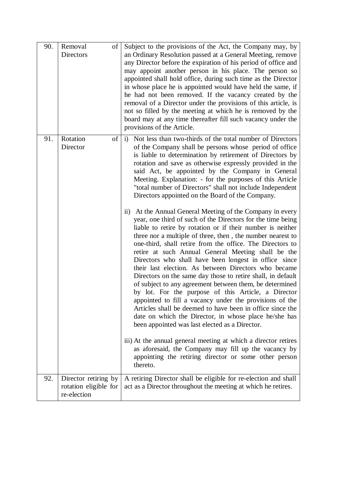| 90. | Removal<br>of<br>Directors                                   | Subject to the provisions of the Act, the Company may, by<br>an Ordinary Resolution passed at a General Meeting, remove<br>any Director before the expiration of his period of office and<br>may appoint another person in his place. The person so<br>appointed shall hold office, during such time as the Director<br>in whose place he is appointed would have held the same, if<br>he had not been removed. If the vacancy created by the<br>removal of a Director under the provisions of this article, is<br>not so filled by the meeting at which he is removed by the<br>board may at any time thereafter fill such vacancy under the<br>provisions of the Article.                                                                                                                                                                     |
|-----|--------------------------------------------------------------|-------------------------------------------------------------------------------------------------------------------------------------------------------------------------------------------------------------------------------------------------------------------------------------------------------------------------------------------------------------------------------------------------------------------------------------------------------------------------------------------------------------------------------------------------------------------------------------------------------------------------------------------------------------------------------------------------------------------------------------------------------------------------------------------------------------------------------------------------|
| 91. | Rotation<br>of<br>Director                                   | i) Not less than two-thirds of the total number of Directors<br>of the Company shall be persons whose period of office<br>is liable to determination by retirement of Directors by<br>rotation and save as otherwise expressly provided in the<br>said Act, be appointed by the Company in General<br>Meeting. Explanation: - for the purposes of this Article<br>"total number of Directors" shall not include Independent<br>Directors appointed on the Board of the Company.<br>ii) At the Annual General Meeting of the Company in every                                                                                                                                                                                                                                                                                                    |
|     |                                                              | year, one third of such of the Directors for the time being<br>liable to retire by rotation or if their number is neither<br>three nor a multiple of three, then, the number nearest to<br>one-third, shall retire from the office. The Directors to<br>retire at such Annual General Meeting shall be the<br>Directors who shall have been longest in office since<br>their last election. As between Directors who became<br>Directors on the same day those to retire shall, in default<br>of subject to any agreement between them, be determined<br>by lot. For the purpose of this Article, a Director<br>appointed to fill a vacancy under the provisions of the<br>Articles shall be deemed to have been in office since the<br>date on which the Director, in whose place he/she has<br>been appointed was last elected as a Director. |
|     |                                                              | iii) At the annual general meeting at which a director retires<br>as aforesaid, the Company may fill up the vacancy by<br>appointing the retiring director or some other person<br>thereto.                                                                                                                                                                                                                                                                                                                                                                                                                                                                                                                                                                                                                                                     |
| 92. | Director retiring by<br>rotation eligible for<br>re-election | A retiring Director shall be eligible for re-election and shall<br>act as a Director throughout the meeting at which he retires.                                                                                                                                                                                                                                                                                                                                                                                                                                                                                                                                                                                                                                                                                                                |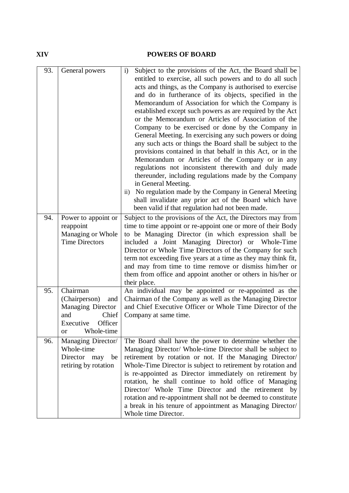### **XIV POWERS OF BOARD**

| 93.<br>94. | General powers                                                                                                    | Subject to the provisions of the Act, the Board shall be<br>$\mathbf{i}$<br>entitled to exercise, all such powers and to do all such<br>acts and things, as the Company is authorised to exercise<br>and do in furtherance of its objects, specified in the<br>Memorandum of Association for which the Company is<br>established except such powers as are required by the Act<br>or the Memorandum or Articles of Association of the<br>Company to be exercised or done by the Company in<br>General Meeting. In exercising any such powers or doing<br>any such acts or things the Board shall be subject to the<br>provisions contained in that behalf in this Act, or in the<br>Memorandum or Articles of the Company or in any<br>regulations not inconsistent therewith and duly made<br>thereunder, including regulations made by the Company<br>in General Meeting.<br>No regulation made by the Company in General Meeting<br>$\mathbf{ii}$<br>shall invalidate any prior act of the Board which have<br>been valid if that regulation had not been made. |
|------------|-------------------------------------------------------------------------------------------------------------------|--------------------------------------------------------------------------------------------------------------------------------------------------------------------------------------------------------------------------------------------------------------------------------------------------------------------------------------------------------------------------------------------------------------------------------------------------------------------------------------------------------------------------------------------------------------------------------------------------------------------------------------------------------------------------------------------------------------------------------------------------------------------------------------------------------------------------------------------------------------------------------------------------------------------------------------------------------------------------------------------------------------------------------------------------------------------|
|            | Power to appoint or<br>reappoint                                                                                  | Subject to the provisions of the Act, the Directors may from<br>time to time appoint or re-appoint one or more of their Body                                                                                                                                                                                                                                                                                                                                                                                                                                                                                                                                                                                                                                                                                                                                                                                                                                                                                                                                       |
|            | Managing or Whole<br><b>Time Directors</b>                                                                        | to be Managing Director (in which expression shall be<br>included a Joint Managing Director) or Whole-Time<br>Director or Whole Time Directors of the Company for such<br>term not exceeding five years at a time as they may think fit,<br>and may from time to time remove or dismiss him/her or<br>them from office and appoint another or others in his/her or<br>their place.                                                                                                                                                                                                                                                                                                                                                                                                                                                                                                                                                                                                                                                                                 |
| 95.        | Chairman<br>(Chairperson)<br>and<br>Managing Director<br>Chief<br>and<br>Executive<br>Officer<br>Whole-time<br>or | An individual may be appointed or re-appointed as the<br>Chairman of the Company as well as the Managing Director<br>and Chief Executive Officer or Whole Time Director of the<br>Company at same time.                                                                                                                                                                                                                                                                                                                                                                                                                                                                                                                                                                                                                                                                                                                                                                                                                                                            |
| 96.        | Managing Director/<br>Whole-time<br>Director<br>be<br>may<br>retiring by rotation                                 | The Board shall have the power to determine whether the<br>Managing Director/ Whole-time Director shall be subject to<br>retirement by rotation or not. If the Managing Director/<br>Whole-Time Director is subject to retirement by rotation and<br>is re-appointed as Director immediately on retirement by<br>rotation, he shall continue to hold office of Managing<br>Director/ Whole Time Director and the retirement by<br>rotation and re-appointment shall not be deemed to constitute<br>a break in his tenure of appointment as Managing Director/<br>Whole time Director.                                                                                                                                                                                                                                                                                                                                                                                                                                                                              |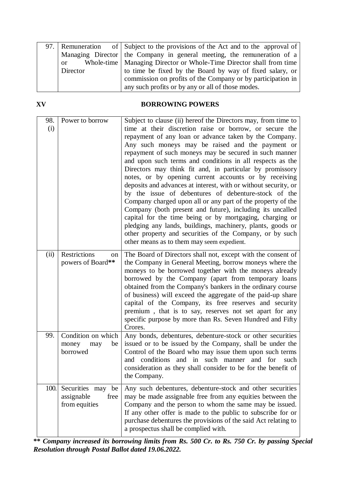|          | 97. Remuneration of Subject to the provisions of the Act and to the approval of |
|----------|---------------------------------------------------------------------------------|
|          | Managing Director the Company in general meeting, the remuneration of a         |
|          | or Whole-time   Managing Director or Whole-Time Director shall from time        |
| Director | to time be fixed by the Board by way of fixed salary, or                        |
|          | commission on profits of the Company or by participation in                     |
|          | any such profits or by any or all of those modes.                               |

### **XV BORROWING POWERS**

| 98.  | Power to borrow                                          | Subject to clause (ii) hereof the Directors may, from time to                                                                                                                                                                                                                                                                                                                                                                                                                                                                                                                                                                                                                                                                                                                                                                                                                                                |
|------|----------------------------------------------------------|--------------------------------------------------------------------------------------------------------------------------------------------------------------------------------------------------------------------------------------------------------------------------------------------------------------------------------------------------------------------------------------------------------------------------------------------------------------------------------------------------------------------------------------------------------------------------------------------------------------------------------------------------------------------------------------------------------------------------------------------------------------------------------------------------------------------------------------------------------------------------------------------------------------|
| (i)  |                                                          | time at their discretion raise or borrow, or secure the<br>repayment of any loan or advance taken by the Company.<br>Any such moneys may be raised and the payment or<br>repayment of such moneys may be secured in such manner<br>and upon such terms and conditions in all respects as the<br>Directors may think fit and, in particular by promissory<br>notes, or by opening current accounts or by receiving<br>deposits and advances at interest, with or without security, or<br>by the issue of debentures of debenture-stock of the<br>Company charged upon all or any part of the property of the<br>Company (both present and future), including its uncalled<br>capital for the time being or by mortgaging, charging or<br>pledging any lands, buildings, machinery, plants, goods or<br>other property and securities of the Company, or by such<br>other means as to them may seem expedient. |
| (ii) | <b>Restrictions</b><br>on<br>powers of Board**           | The Board of Directors shall not, except with the consent of<br>the Company in General Meeting, borrow moneys where the<br>moneys to be borrowed together with the moneys already<br>borrowed by the Company (apart from temporary loans<br>obtained from the Company's bankers in the ordinary course<br>of business) will exceed the aggregate of the paid-up share<br>capital of the Company, its free reserves and security<br>premium, that is to say, reserves not set apart for any<br>specific purpose by more than Rs. Seven Hundred and Fifty<br>Crores.                                                                                                                                                                                                                                                                                                                                           |
| 99.  | Condition on which<br>money<br>be<br>may<br>borrowed     | Any bonds, debentures, debenture-stock or other securities<br>issued or to be issued by the Company, shall be under the<br>Control of the Board who may issue them upon such terms<br>and conditions and in such manner<br>and for<br>such<br>consideration as they shall consider to be for the benefit of<br>the Company.                                                                                                                                                                                                                                                                                                                                                                                                                                                                                                                                                                                  |
| 100. | Securities may be<br>assignable<br>free<br>from equities | Any such debentures, debenture-stock and other securities<br>may be made assignable free from any equities between the<br>Company and the person to whom the same may be issued.<br>If any other offer is made to the public to subscribe for or<br>purchase debentures the provisions of the said Act relating to<br>a prospectus shall be complied with.                                                                                                                                                                                                                                                                                                                                                                                                                                                                                                                                                   |

**\*\*** *Company increased its borrowing limits from Rs. 500 Cr. to Rs. 750 Cr. by passing Special Resolution through Postal Ballot dated 19.06.2022.*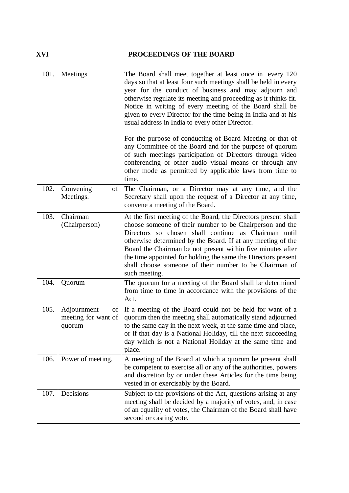### **XVI PROCEEDINGS OF THE BOARD**

| 101. | Meetings                                           | The Board shall meet together at least once in every 120<br>days so that at least four such meetings shall be held in every<br>year for the conduct of business and may adjourn and<br>otherwise regulate its meeting and proceeding as it thinks fit.<br>Notice in writing of every meeting of the Board shall be<br>given to every Director for the time being in India and at his<br>usual address in India to every other Director.                      |
|------|----------------------------------------------------|--------------------------------------------------------------------------------------------------------------------------------------------------------------------------------------------------------------------------------------------------------------------------------------------------------------------------------------------------------------------------------------------------------------------------------------------------------------|
|      |                                                    | For the purpose of conducting of Board Meeting or that of<br>any Committee of the Board and for the purpose of quorum<br>of such meetings participation of Directors through video<br>conferencing or other audio visual means or through any<br>other mode as permitted by applicable laws from time to<br>time.                                                                                                                                            |
| 102. | Convening<br>of<br>Meetings.                       | The Chairman, or a Director may at any time, and the<br>Secretary shall upon the request of a Director at any time,<br>convene a meeting of the Board.                                                                                                                                                                                                                                                                                                       |
| 103. | Chairman<br>(Chairperson)                          | At the first meeting of the Board, the Directors present shall<br>choose someone of their number to be Chairperson and the<br>Directors so chosen shall continue as Chairman until<br>otherwise determined by the Board. If at any meeting of the<br>Board the Chairman be not present within five minutes after<br>the time appointed for holding the same the Directors present<br>shall choose someone of their number to be Chairman of<br>such meeting. |
| 104. | Quorum                                             | The quorum for a meeting of the Board shall be determined<br>from time to time in accordance with the provisions of the<br>Act.                                                                                                                                                                                                                                                                                                                              |
| 105. | Adjournment<br>of<br>meeting for want of<br>quorum | If a meeting of the Board could not be held for want of a<br>quorum then the meeting shall automatically stand adjourned<br>to the same day in the next week, at the same time and place,<br>or if that day is a National Holiday, till the next succeeding<br>day which is not a National Holiday at the same time and<br>place.                                                                                                                            |
| 106. | Power of meeting.                                  | A meeting of the Board at which a quorum be present shall<br>be competent to exercise all or any of the authorities, powers<br>and discretion by or under these Articles for the time being<br>vested in or exercisably by the Board.                                                                                                                                                                                                                        |
| 107. | Decisions                                          | Subject to the provisions of the Act, questions arising at any<br>meeting shall be decided by a majority of votes, and, in case<br>of an equality of votes, the Chairman of the Board shall have<br>second or casting vote.                                                                                                                                                                                                                                  |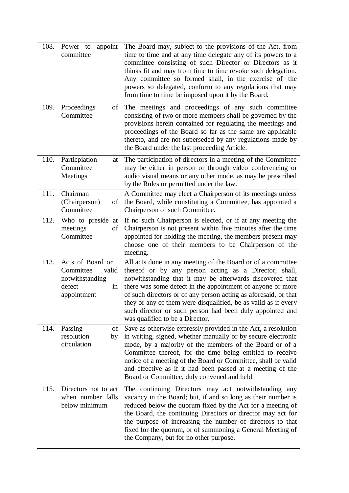| 108.<br>109. | appoint<br>Power to<br>committee<br>Proceedings<br>of                                    | The Board may, subject to the provisions of the Act, from<br>time to time and at any time delegate any of its powers to a<br>committee consisting of such Director or Directors as it<br>thinks fit and may from time to time revoke such delegation.<br>Any committee so formed shall, in the exercise of the<br>powers so delegated, conform to any regulations that may<br>from time to time be imposed upon it by the Board.<br>The meetings and proceedings of any such committee |
|--------------|------------------------------------------------------------------------------------------|----------------------------------------------------------------------------------------------------------------------------------------------------------------------------------------------------------------------------------------------------------------------------------------------------------------------------------------------------------------------------------------------------------------------------------------------------------------------------------------|
|              | Committee                                                                                | consisting of two or more members shall be governed by the<br>provisions herein contained for regulating the meetings and<br>proceedings of the Board so far as the same are applicable<br>thereto, and are not superseded by any regulations made by<br>the Board under the last proceeding Article.                                                                                                                                                                                  |
| 110.         | Particpiation<br>at<br>Committee<br>Meetings                                             | The participation of directors in a meeting of the Committee<br>may be either in person or through video conferencing or<br>audio visual means or any other mode, as may be prescribed<br>by the Rules or permitted under the law.                                                                                                                                                                                                                                                     |
| 111.         | Chairman<br>(Chairperson)<br>of<br>Committee                                             | A Committee may elect a Chairperson of its meetings unless<br>the Board, while constituting a Committee, has appointed a<br>Chairperson of such Committee.                                                                                                                                                                                                                                                                                                                             |
| 112.         | Who to preside at<br>meetings<br>of<br>Committee                                         | If no such Chairperson is elected, or if at any meeting the<br>Chairperson is not present within five minutes after the time<br>appointed for holding the meeting, the members present may<br>choose one of their members to be Chairperson of the<br>meeting.                                                                                                                                                                                                                         |
| 113.         | Acts of Board or<br>Committee<br>valid<br>notwithstanding<br>defect<br>in<br>appointment | All acts done in any meeting of the Board or of a committee<br>thereof or by any person acting as a Director, shall,<br>notwithstanding that it may be afterwards discovered that<br>there was some defect in the appointment of anyone or more<br>of such directors or of any person acting as aforesaid, or that<br>they or any of them were disqualified, be as valid as if every<br>such director or such person had been duly appointed and<br>was qualified to be a Director.    |
| 114.         | of<br>Passing<br>resolution<br>by<br>circulation                                         | Save as otherwise expressly provided in the Act, a resolution<br>in writing, signed, whether manually or by secure electronic<br>mode, by a majority of the members of the Board or of a<br>Committee thereof, for the time being entitled to receive<br>notice of a meeting of the Board or Committee, shall be valid<br>and effective as if it had been passed at a meeting of the<br>Board or Committee, duly convened and held.                                                    |
| 115.         | Directors not to act<br>when number falls<br>below minimum                               | The continuing Directors may act notwithstanding any<br>vacancy in the Board; but, if and so long as their number is<br>reduced below the quorum fixed by the Act for a meeting of<br>the Board, the continuing Directors or director may act for<br>the purpose of increasing the number of directors to that<br>fixed for the quorum, or of summoning a General Meeting of<br>the Company, but for no other purpose.                                                                 |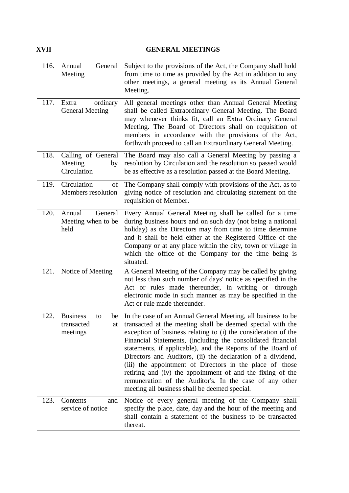### **XVII GENERAL MEETINGS**

| 116. | General<br>Annual<br>Meeting                                | Subject to the provisions of the Act, the Company shall hold<br>from time to time as provided by the Act in addition to any<br>other meetings, a general meeting as its Annual General<br>Meeting.                                                                                                                                                                                                                                                                                                                                                                                                                              |
|------|-------------------------------------------------------------|---------------------------------------------------------------------------------------------------------------------------------------------------------------------------------------------------------------------------------------------------------------------------------------------------------------------------------------------------------------------------------------------------------------------------------------------------------------------------------------------------------------------------------------------------------------------------------------------------------------------------------|
| 117. | ordinary<br>Extra<br><b>General Meeting</b>                 | All general meetings other than Annual General Meeting<br>shall be called Extraordinary General Meeting. The Board<br>may whenever thinks fit, call an Extra Ordinary General<br>Meeting. The Board of Directors shall on requisition of<br>members in accordance with the provisions of the Act,<br>forthwith proceed to call an Extraordinary General Meeting.                                                                                                                                                                                                                                                                |
| 118. | Calling of General<br>Meeting<br>by<br>Circulation          | The Board may also call a General Meeting by passing a<br>resolution by Circulation and the resolution so passed would<br>be as effective as a resolution passed at the Board Meeting.                                                                                                                                                                                                                                                                                                                                                                                                                                          |
| 119. | Circulation<br>of<br>Members resolution                     | The Company shall comply with provisions of the Act, as to<br>giving notice of resolution and circulating statement on the<br>requisition of Member.                                                                                                                                                                                                                                                                                                                                                                                                                                                                            |
| 120. | General<br>Annual<br>Meeting when to be<br>held             | Every Annual General Meeting shall be called for a time<br>during business hours and on such day (not being a national<br>holiday) as the Directors may from time to time determine<br>and it shall be held either at the Registered Office of the<br>Company or at any place within the city, town or village in<br>which the office of the Company for the time being is<br>situated.                                                                                                                                                                                                                                         |
| 121. | Notice of Meeting                                           | A General Meeting of the Company may be called by giving<br>not less than such number of days' notice as specified in the<br>Act or rules made thereunder, in writing or through<br>electronic mode in such manner as may be specified in the<br>Act or rule made thereunder.                                                                                                                                                                                                                                                                                                                                                   |
| 122. | <b>Business</b><br>to<br>be<br>transacted<br>at<br>meetings | In the case of an Annual General Meeting, all business to be<br>transacted at the meeting shall be deemed special with the<br>exception of business relating to (i) the consideration of the<br>Financial Statements, (including the consolidated financial<br>statements, if applicable), and the Reports of the Board of<br>Directors and Auditors, (ii) the declaration of a dividend,<br>(iii) the appointment of Directors in the place of those<br>retiring and (iv) the appointment of and the fixing of the<br>remuneration of the Auditor's. In the case of any other<br>meeting all business shall be deemed special. |
| 123. | Contents<br>and<br>service of notice                        | Notice of every general meeting of the Company shall<br>specify the place, date, day and the hour of the meeting and<br>shall contain a statement of the business to be transacted<br>thereat.                                                                                                                                                                                                                                                                                                                                                                                                                                  |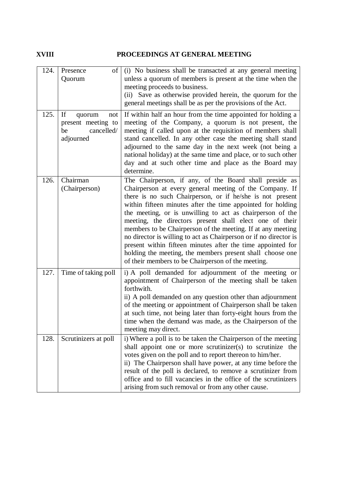### **XVIII PROCEEDINGS AT GENERAL MEETING**

| 124. | Presence<br>of<br>Quorum                            | (i) No business shall be transacted at any general meeting<br>unless a quorum of members is present at the time when the<br>meeting proceeds to business.<br>Save as otherwise provided herein, the quorum for the<br>(ii)                                                                                                                                                                                                                                                                                                                                                                                                                                                                  |
|------|-----------------------------------------------------|---------------------------------------------------------------------------------------------------------------------------------------------------------------------------------------------------------------------------------------------------------------------------------------------------------------------------------------------------------------------------------------------------------------------------------------------------------------------------------------------------------------------------------------------------------------------------------------------------------------------------------------------------------------------------------------------|
| 125. | If<br>quorum<br>not                                 | general meetings shall be as per the provisions of the Act.<br>If within half an hour from the time appointed for holding a                                                                                                                                                                                                                                                                                                                                                                                                                                                                                                                                                                 |
|      | present meeting to<br>cancelled/<br>be<br>adjourned | meeting of the Company, a quorum is not present, the<br>meeting if called upon at the requisition of members shall<br>stand cancelled. In any other case the meeting shall stand<br>adjourned to the same day in the next week (not being a<br>national holiday) at the same time and place, or to such other<br>day and at such other time and place as the Board may<br>determine.                                                                                                                                                                                                                                                                                                        |
| 126. | Chairman<br>(Chairperson)                           | The Chairperson, if any, of the Board shall preside as<br>Chairperson at every general meeting of the Company. If<br>there is no such Chairperson, or if he/she is not present<br>within fifteen minutes after the time appointed for holding<br>the meeting, or is unwilling to act as chairperson of the<br>meeting, the directors present shall elect one of their<br>members to be Chairperson of the meeting. If at any meeting<br>no director is willing to act as Chairperson or if no director is<br>present within fifteen minutes after the time appointed for<br>holding the meeting, the members present shall choose one<br>of their members to be Chairperson of the meeting. |
| 127. | Time of taking poll                                 | i) A poll demanded for adjournment of the meeting or<br>appointment of Chairperson of the meeting shall be taken<br>forthwith.<br>ii) A poll demanded on any question other than adjournment<br>of the meeting or appointment of Chairperson shall be taken<br>at such time, not being later than forty-eight hours from the<br>time when the demand was made, as the Chairperson of the<br>meeting may direct.                                                                                                                                                                                                                                                                             |
| 128. | Scrutinizers at poll                                | i) Where a poll is to be taken the Chairperson of the meeting<br>shall appoint one or more scrutinizer(s) to scrutinize the<br>votes given on the poll and to report thereon to him/her.<br>ii) The Chairperson shall have power, at any time before the<br>result of the poll is declared, to remove a scrutinizer from<br>office and to fill vacancies in the office of the scrutinizers<br>arising from such removal or from any other cause.                                                                                                                                                                                                                                            |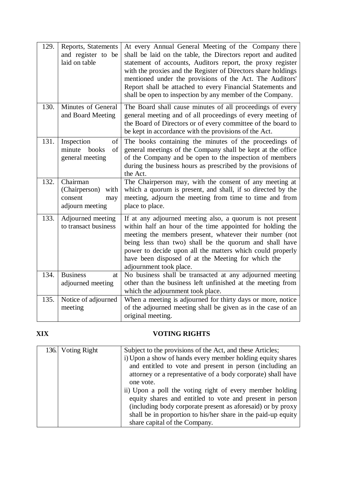| 129. | Reports, Statements<br>and register to be<br>laid on table             | At every Annual General Meeting of the Company there<br>shall be laid on the table, the Directors report and audited<br>statement of accounts, Auditors report, the proxy register<br>with the proxies and the Register of Directors share holdings<br>mentioned under the provisions of the Act. The Auditors'<br>Report shall be attached to every Financial Statements and<br>shall be open to inspection by any member of the Company. |
|------|------------------------------------------------------------------------|--------------------------------------------------------------------------------------------------------------------------------------------------------------------------------------------------------------------------------------------------------------------------------------------------------------------------------------------------------------------------------------------------------------------------------------------|
| 130. | Minutes of General<br>and Board Meeting                                | The Board shall cause minutes of all proceedings of every<br>general meeting and of all proceedings of every meeting of<br>the Board of Directors or of every committee of the board to<br>be kept in accordance with the provisions of the Act.                                                                                                                                                                                           |
| 131. | Inspection<br>of<br>minute<br>of<br>books<br>general meeting           | The books containing the minutes of the proceedings of<br>general meetings of the Company shall be kept at the office<br>of the Company and be open to the inspection of members<br>during the business hours as prescribed by the provisions of<br>the Act.                                                                                                                                                                               |
| 132. | Chairman<br>(Chairperson)<br>with<br>consent<br>may<br>adjourn meeting | The Chairperson may, with the consent of any meeting at<br>which a quorum is present, and shall, if so directed by the<br>meeting, adjourn the meeting from time to time and from<br>place to place.                                                                                                                                                                                                                                       |
| 133. | Adjourned meeting<br>to transact business                              | If at any adjourned meeting also, a quorum is not present<br>within half an hour of the time appointed for holding the<br>meeting the members present, whatever their number (not<br>being less than two) shall be the quorum and shall have<br>power to decide upon all the matters which could properly<br>have been disposed of at the Meeting for which the<br>adjournment took place.                                                 |
| 134. | <b>Business</b><br>at<br>adjourned meeting                             | No business shall be transacted at any adjourned meeting<br>other than the business left unfinished at the meeting from<br>which the adjournment took place.                                                                                                                                                                                                                                                                               |
| 135. | Notice of adjourned<br>meeting                                         | When a meeting is adjourned for thirty days or more, notice<br>of the adjourned meeting shall be given as in the case of an<br>original meeting.                                                                                                                                                                                                                                                                                           |

### **XIX VOTING RIGHTS**

| 136. Voting Right | Subject to the provisions of the Act, and these Articles;<br>i) Upon a show of hands every member holding equity shares<br>and entitled to vote and present in person (including an<br>attorney or a representative of a body corporate) shall have<br>one vote.<br>ii) Upon a poll the voting right of every member holding |
|-------------------|------------------------------------------------------------------------------------------------------------------------------------------------------------------------------------------------------------------------------------------------------------------------------------------------------------------------------|
|                   | equity shares and entitled to vote and present in person<br>(including body corporate present as aforesaid) or by proxy<br>shall be in proportion to his/her share in the paid-up equity<br>share capital of the Company.                                                                                                    |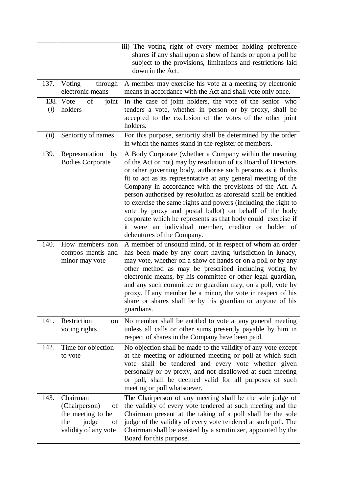|             |                                                                                                    | iii) The voting right of every member holding preference<br>shares if any shall upon a show of hands or upon a poll be<br>subject to the provisions, limitations and restrictions laid<br>down in the Act.                                                                                                                                                                                                                                                                                                                                                                                                                                                               |
|-------------|----------------------------------------------------------------------------------------------------|--------------------------------------------------------------------------------------------------------------------------------------------------------------------------------------------------------------------------------------------------------------------------------------------------------------------------------------------------------------------------------------------------------------------------------------------------------------------------------------------------------------------------------------------------------------------------------------------------------------------------------------------------------------------------|
| 137.        | Voting<br>through<br>electronic means                                                              | A member may exercise his vote at a meeting by electronic<br>means in accordance with the Act and shall vote only once.                                                                                                                                                                                                                                                                                                                                                                                                                                                                                                                                                  |
| 138.<br>(i) | Vote<br>of<br>joint<br>holders                                                                     | In the case of joint holders, the vote of the senior who<br>tenders a vote, whether in person or by proxy, shall be<br>accepted to the exclusion of the votes of the other joint<br>holders.                                                                                                                                                                                                                                                                                                                                                                                                                                                                             |
| (ii)        | Seniority of names                                                                                 | For this purpose, seniority shall be determined by the order<br>in which the names stand in the register of members.                                                                                                                                                                                                                                                                                                                                                                                                                                                                                                                                                     |
| 139.        | Representation<br>by<br><b>Bodies Corporate</b>                                                    | A Body Corporate (whether a Company within the meaning<br>of the Act or not) may by resolution of its Board of Directors<br>or other governing body, authorise such persons as it thinks<br>fit to act as its representative at any general meeting of the<br>Company in accordance with the provisions of the Act. A<br>person authorised by resolution as aforesaid shall be entitled<br>to exercise the same rights and powers (including the right to<br>vote by proxy and postal ballot) on behalf of the body<br>corporate which he represents as that body could exercise if<br>it were an individual member, creditor or holder of<br>debentures of the Company. |
| 140.        | How members non<br>compos mentis and<br>minor may vote                                             | A member of unsound mind, or in respect of whom an order<br>has been made by any court having jurisdiction in lunacy,<br>may vote, whether on a show of hands or on a poll or by any<br>other method as may be prescribed including voting by<br>electronic means, by his committee or other legal guardian,<br>and any such committee or guardian may, on a poll, vote by<br>proxy. If any member be a minor, the vote in respect of his<br>share or shares shall be by his guardian or anyone of his<br>guardians.                                                                                                                                                     |
| 141.        | Restriction<br>on<br>voting rights                                                                 | No member shall be entitled to vote at any general meeting<br>unless all calls or other sums presently payable by him in<br>respect of shares in the Company have been paid.                                                                                                                                                                                                                                                                                                                                                                                                                                                                                             |
| 142.        | Time for objection<br>to vote                                                                      | No objection shall be made to the validity of any vote except<br>at the meeting or adjourned meeting or poll at which such<br>vote shall be tendered and every vote whether given<br>personally or by proxy, and not disallowed at such meeting<br>or poll, shall be deemed valid for all purposes of such<br>meeting or poll whatsoever.                                                                                                                                                                                                                                                                                                                                |
| 143.        | Chairman<br>(Chairperson)<br>of<br>the meeting to be<br>judge<br>the<br>of<br>validity of any vote | The Chairperson of any meeting shall be the sole judge of<br>the validity of every vote tendered at such meeting and the<br>Chairman present at the taking of a poll shall be the sole<br>judge of the validity of every vote tendered at such poll. The<br>Chairman shall be assisted by a scrutinizer, appointed by the<br>Board for this purpose.                                                                                                                                                                                                                                                                                                                     |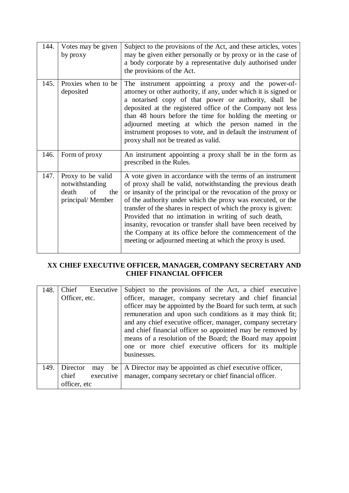| 144. | Votes may be given<br>by proxy                                                  | Subject to the provisions of the Act, and these articles, votes<br>may be given either personally or by proxy or in the case of<br>a body corporate by a representative duly authorised under<br>the provisions of the Act.                                                                                                                                                                                                                                                                                                                                                   |
|------|---------------------------------------------------------------------------------|-------------------------------------------------------------------------------------------------------------------------------------------------------------------------------------------------------------------------------------------------------------------------------------------------------------------------------------------------------------------------------------------------------------------------------------------------------------------------------------------------------------------------------------------------------------------------------|
| 145. | Proxies when to be<br>deposited                                                 | The instrument appointing a proxy and the power-of-<br>attorney or other authority, if any, under which it is signed or<br>a notarised copy of that power or authority, shall be<br>deposited at the registered office of the Company not less<br>than 48 hours before the time for holding the meeting or<br>adjourned meeting at which the person named in the<br>instrument proposes to vote, and in default the instrument of<br>proxy shall not be treated as valid.                                                                                                     |
| 146. | Form of proxy                                                                   | An instrument appointing a proxy shall be in the form as<br>prescribed in the Rules.                                                                                                                                                                                                                                                                                                                                                                                                                                                                                          |
| 147. | Proxy to be valid<br>notwithstanding<br>death<br>of<br>the<br>principal/ Member | A vote given in accordance with the terms of an instrument<br>of proxy shall be valid, notwithstanding the previous death<br>or insanity of the principal or the revocation of the proxy or<br>of the authority under which the proxy was executed, or the<br>transfer of the shares in respect of which the proxy is given:<br>Provided that no intimation in writing of such death,<br>insanity, revocation or transfer shall have been received by<br>the Company at its office before the commencement of the<br>meeting or adjourned meeting at which the proxy is used. |

### **XX CHIEF EXECUTIVE OFFICER, MANAGER, COMPANY SECRETARY AND CHIEF FINANCIAL OFFICER**

| 148. | Chief<br>Executive<br>Officer, etc.                         | Subject to the provisions of the Act, a chief executive<br>officer, manager, company secretary and chief financial<br>officer may be appointed by the Board for such term, at such<br>remuneration and upon such conditions as it may think fit;<br>and any chief executive officer, manager, company secretary<br>and chief financial officer so appointed may be removed by<br>means of a resolution of the Board; the Board may appoint<br>one or more chief executive officers for its multiple<br>businesses. |
|------|-------------------------------------------------------------|--------------------------------------------------------------------------------------------------------------------------------------------------------------------------------------------------------------------------------------------------------------------------------------------------------------------------------------------------------------------------------------------------------------------------------------------------------------------------------------------------------------------|
| 149. | Director<br>be<br>may<br>chief<br>executive<br>officer, etc | A Director may be appointed as chief executive officer,<br>manager, company secretary or chief financial officer.                                                                                                                                                                                                                                                                                                                                                                                                  |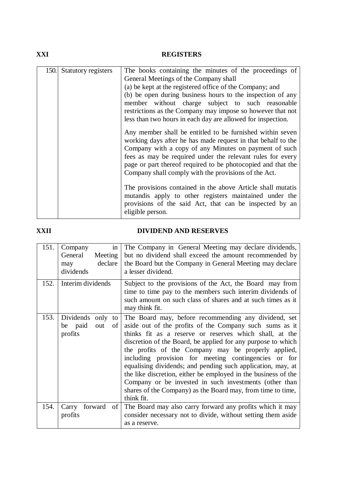### **XXI REGISTERS**

| 150. | Statutory registers | The books containing the minutes of the proceedings of       |
|------|---------------------|--------------------------------------------------------------|
|      |                     | General Meetings of the Company shall                        |
|      |                     |                                                              |
|      |                     | (a) be kept at the registered office of the Company; and     |
|      |                     | (b) be open during business hours to the inspection of any   |
|      |                     | member without charge subject to such reasonable             |
|      |                     |                                                              |
|      |                     | restrictions as the Company may impose so however that not   |
|      |                     | less than two hours in each day are allowed for inspection.  |
|      |                     |                                                              |
|      |                     | Any member shall be entitled to be furnished within seven    |
|      |                     | working days after he has made request in that behalf to the |
|      |                     | Company with a copy of any Minutes on payment of such        |
|      |                     |                                                              |
|      |                     | fees as may be required under the relevant rules for every   |
|      |                     | page or part thereof required to be photocopied and that the |
|      |                     | Company shall comply with the provisions of the Act.         |
|      |                     |                                                              |
|      |                     | The provisions contained in the above Article shall mutatis  |
|      |                     |                                                              |
|      |                     | mutandis apply to other registers maintained under the       |
|      |                     | provisions of the said Act, that can be inspected by an      |
|      |                     | eligible person.                                             |
|      |                     |                                                              |

### **XXII DIVIDEND AND RESERVES**

| 151. | Company<br>in<br>General<br>Meeting<br>declare<br>may<br>dividends<br>Interim dividends | The Company in General Meeting may declare dividends,<br>but no dividend shall exceed the amount recommended by<br>the Board but the Company in General Meeting may declare<br>a lesser dividend.                                                                                                                                                                                                                                                                                                                                                                                                                                 |
|------|-----------------------------------------------------------------------------------------|-----------------------------------------------------------------------------------------------------------------------------------------------------------------------------------------------------------------------------------------------------------------------------------------------------------------------------------------------------------------------------------------------------------------------------------------------------------------------------------------------------------------------------------------------------------------------------------------------------------------------------------|
| 152. |                                                                                         | Subject to the provisions of the Act, the Board may from<br>time to time pay to the members such interim dividends of<br>such amount on such class of shares and at such times as it<br>may think fit.                                                                                                                                                                                                                                                                                                                                                                                                                            |
| 153. | Dividends only<br>to<br>be paid<br>out<br>οf<br>profits                                 | The Board may, before recommending any dividend, set<br>aside out of the profits of the Company such sums as it<br>thinks fit as a reserve or reserves which shall, at the<br>discretion of the Board, be applied for any purpose to which<br>the profits of the Company may be properly applied,<br>including provision for meeting contingencies or for<br>equalising dividends; and pending such application, may, at<br>the like discretion, either be employed in the business of the<br>Company or be invested in such investments (other than<br>shares of the Company) as the Board may, from time to time,<br>think fit. |
| 154. | forward<br>Carry<br>of<br>profits                                                       | The Board may also carry forward any profits which it may<br>consider necessary not to divide, without setting them aside<br>as a reserve.                                                                                                                                                                                                                                                                                                                                                                                                                                                                                        |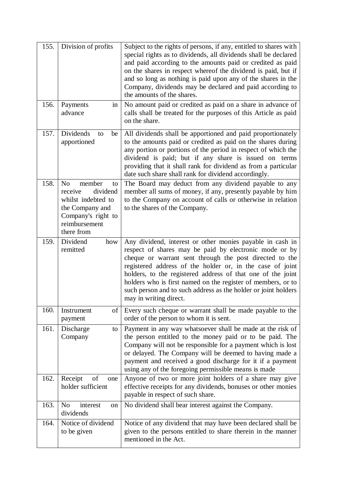| 155. | Division of profits                                                                                                                                 | Subject to the rights of persons, if any, entitled to shares with<br>special rights as to dividends, all dividends shall be declared<br>and paid according to the amounts paid or credited as paid<br>on the shares in respect whereof the dividend is paid, but if<br>and so long as nothing is paid upon any of the shares in the<br>Company, dividends may be declared and paid according to<br>the amounts of the shares.                                          |
|------|-----------------------------------------------------------------------------------------------------------------------------------------------------|------------------------------------------------------------------------------------------------------------------------------------------------------------------------------------------------------------------------------------------------------------------------------------------------------------------------------------------------------------------------------------------------------------------------------------------------------------------------|
| 156. | Payments<br>in<br>advance                                                                                                                           | No amount paid or credited as paid on a share in advance of<br>calls shall be treated for the purposes of this Article as paid<br>on the share.                                                                                                                                                                                                                                                                                                                        |
| 157. | Dividends<br>be<br>to<br>apportioned                                                                                                                | All dividends shall be apportioned and paid proportionately<br>to the amounts paid or credited as paid on the shares during<br>any portion or portions of the period in respect of which the<br>dividend is paid; but if any share is issued on terms<br>providing that it shall rank for dividend as from a particular<br>date such share shall rank for dividend accordingly.                                                                                        |
| 158. | member<br>N <sub>o</sub><br>to<br>receive<br>dividend<br>whilst indebted to<br>the Company and<br>Company's right to<br>reimbursement<br>there from | The Board may deduct from any dividend payable to any<br>member all sums of money, if any, presently payable by him<br>to the Company on account of calls or otherwise in relation<br>to the shares of the Company.                                                                                                                                                                                                                                                    |
| 159. | Dividend<br>how<br>remitted                                                                                                                         | Any dividend, interest or other monies payable in cash in<br>respect of shares may be paid by electronic mode or by<br>cheque or warrant sent through the post directed to the<br>registered address of the holder or, in the case of joint<br>holders, to the registered address of that one of the joint<br>holders who is first named on the register of members, or to<br>such person and to such address as the holder or joint holders<br>may in writing direct. |
| 160. | Instrument<br>of<br>payment                                                                                                                         | Every such cheque or warrant shall be made payable to the<br>order of the person to whom it is sent.                                                                                                                                                                                                                                                                                                                                                                   |
| 161. | Discharge<br>to<br>Company                                                                                                                          | Payment in any way whatsoever shall be made at the risk of<br>the person entitled to the money paid or to be paid. The<br>Company will not be responsible for a payment which is lost<br>or delayed. The Company will be deemed to having made a<br>payment and received a good discharge for it if a payment<br>using any of the foregoing permissible means is made                                                                                                  |
| 162. | Receipt<br>of<br>one<br>holder sufficient                                                                                                           | Anyone of two or more joint holders of a share may give<br>effective receipts for any dividends, bonuses or other monies<br>payable in respect of such share.                                                                                                                                                                                                                                                                                                          |
| 163. | N <sub>o</sub><br>interest<br>on<br>dividends                                                                                                       | No dividend shall bear interest against the Company.                                                                                                                                                                                                                                                                                                                                                                                                                   |
| 164. | Notice of dividend<br>to be given                                                                                                                   | Notice of any dividend that may have been declared shall be<br>given to the persons entitled to share therein in the manner<br>mentioned in the Act.                                                                                                                                                                                                                                                                                                                   |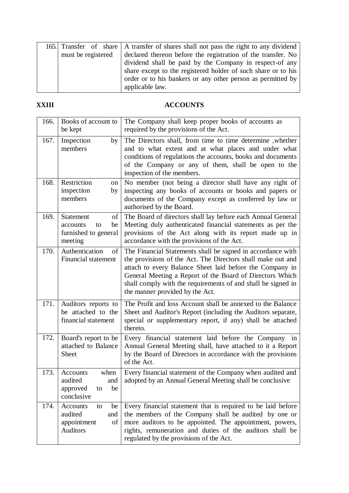|                    |  | 165. Transfer of share A transfer of shares shall not pass the right to any dividend |
|--------------------|--|--------------------------------------------------------------------------------------|
| must be registered |  | declared thereon before the registration of the transfer. No                         |
|                    |  | dividend shall be paid by the Company in respect-of any                              |
|                    |  | share except to the registered holder of such share or to his                        |
|                    |  | order or to his bankers or any other person as permitted by                          |
|                    |  | applicable law.                                                                      |

### **XXIII ACCOUNTS**

| 166. | Books of account to<br>be kept                                             | The Company shall keep proper books of accounts as<br>required by the provisions of the Act.                                                                                                                                                                                                                                                          |
|------|----------------------------------------------------------------------------|-------------------------------------------------------------------------------------------------------------------------------------------------------------------------------------------------------------------------------------------------------------------------------------------------------------------------------------------------------|
| 167. | Inspection<br>by<br>members                                                | The Directors shall, from time to time determine ,whether<br>and to what extent and at what places and under what<br>conditions of regulations the accounts, books and documents<br>of the Company or any of them, shall be open to the<br>inspection of the members.                                                                                 |
| 168. | Restriction<br>on<br>inspection<br>by<br>members                           | No member (not being a director shall have any right of<br>inspecting any books of accounts or books and papers or<br>documents of the Company except as conferred by law or<br>authorised by the Board.                                                                                                                                              |
| 169. | Statement<br>οf<br>be<br>accounts<br>to<br>furnished to general<br>meeting | The Board of directors shall lay before each Annual General<br>Meeting duly authenticated financial statements as per the<br>provisions of the Act along with its report made up in<br>accordance with the provisions of the Act.                                                                                                                     |
| 170. | Authentication<br>οf<br><b>Financial statement</b>                         | The Financial Statements shall be signed in accordance with<br>the provisions of the Act. The Directors shall make out and<br>attach to every Balance Sheet laid before the Company in<br>General Meeting a Report of the Board of Directors Which<br>shall comply with the requirements of and shall be signed in<br>the manner provided by the Act. |
| 171. | Auditors reports to<br>be attached to the<br>financial statement           | The Profit and loss Account shall be annexed to the Balance<br>Sheet and Auditor's Report (including the Auditors separate,<br>special or supplementary report, if any) shall be attached<br>thereto.                                                                                                                                                 |
| 172. | Board's report to be<br>attached to Balance<br>Sheet                       | Every financial statement laid before the Company in<br>Annual General Meeting shall, have attached to it a Report<br>by the Board of Directors in accordance with the provisions<br>of the Act.                                                                                                                                                      |
| 173. | when<br>Accounts<br>and<br>audited<br>be<br>approved<br>to<br>conclusive   | Every financial statement of the Company when audited and<br>adopted by an Annual General Meeting shall be conclusive                                                                                                                                                                                                                                 |
| 174. | Accounts<br>to<br>be<br>audited<br>and<br>appointment<br>of<br>Auditors    | Every financial statement that is required to be laid before<br>the members of the Company shall be audited by one or<br>more auditors to be appointed. The appointment, powers,<br>rights, remuneration and duties of the auditors shall be<br>regulated by the provisions of the Act.                                                               |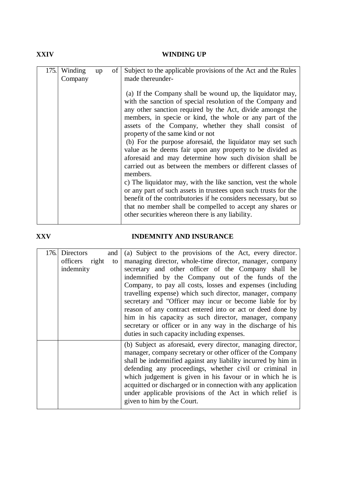### **XXIV WINDING UP**

| 175. | Winding<br>Company | up | of | Subject to the applicable provisions of the Act and the Rules<br>made thereunder-                                                                                                                                                                                                                                                                                                                                                                                                                                                                                                                                                                                                                                                                                                                                                                                                                                                    |
|------|--------------------|----|----|--------------------------------------------------------------------------------------------------------------------------------------------------------------------------------------------------------------------------------------------------------------------------------------------------------------------------------------------------------------------------------------------------------------------------------------------------------------------------------------------------------------------------------------------------------------------------------------------------------------------------------------------------------------------------------------------------------------------------------------------------------------------------------------------------------------------------------------------------------------------------------------------------------------------------------------|
|      |                    |    |    | (a) If the Company shall be wound up, the liquidator may,<br>with the sanction of special resolution of the Company and<br>any other sanction required by the Act, divide amongst the<br>members, in specie or kind, the whole or any part of the<br>assets of the Company, whether they shall consist of<br>property of the same kind or not<br>(b) For the purpose aforesaid, the liquidator may set such<br>value as he deems fair upon any property to be divided as<br>aforesaid and may determine how such division shall be<br>carried out as between the members or different classes of<br>members.<br>c) The liquidator may, with the like sanction, vest the whole<br>or any part of such assets in trustees upon such trusts for the<br>benefit of the contributories if he considers necessary, but so<br>that no member shall be compelled to accept any shares or<br>other securities whereon there is any liability. |

### **XXV INDEMNITY AND INSURANCE**

| 176. | Directors<br>officers right<br>indemnity | and<br>to | (a) Subject to the provisions of the Act, every director.<br>managing director, whole-time director, manager, company<br>secretary and other officer of the Company shall be<br>indemnified by the Company out of the funds of the<br>Company, to pay all costs, losses and expenses (including<br>travelling expense) which such director, manager, company<br>secretary and "Officer may incur or become liable for by<br>reason of any contract entered into or act or deed done by<br>him in his capacity as such director, manager, company<br>secretary or officer or in any way in the discharge of his |
|------|------------------------------------------|-----------|----------------------------------------------------------------------------------------------------------------------------------------------------------------------------------------------------------------------------------------------------------------------------------------------------------------------------------------------------------------------------------------------------------------------------------------------------------------------------------------------------------------------------------------------------------------------------------------------------------------|
|      |                                          |           | duties in such capacity including expenses.<br>(b) Subject as aforesaid, every director, managing director,<br>manager, company secretary or other officer of the Company<br>shall be indemnified against any liability incurred by him in<br>defending any proceedings, whether civil or criminal in<br>which judgement is given in his favour or in which he is<br>acquitted or discharged or in connection with any application<br>under applicable provisions of the Act in which relief is<br>given to him by the Court.                                                                                  |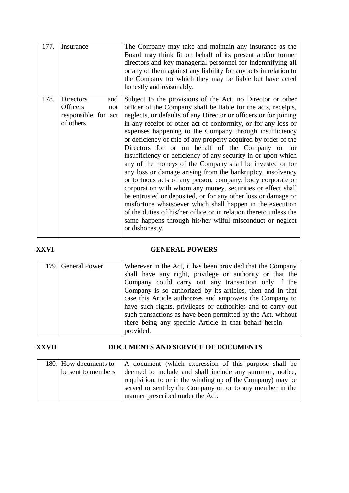| 177. | Insurance              | The Company may take and maintain any insurance as the<br>Board may think fit on behalf of its present and/or former<br>directors and key managerial personnel for indemnifying all<br>or any of them against any liability for any acts in relation to<br>the Company for which they may be liable but have acted<br>honestly and reasonably. |
|------|------------------------|------------------------------------------------------------------------------------------------------------------------------------------------------------------------------------------------------------------------------------------------------------------------------------------------------------------------------------------------|
| 178. | Directors<br>and       | Subject to the provisions of the Act, no Director or other                                                                                                                                                                                                                                                                                     |
|      | <b>Officers</b><br>not | officer of the Company shall be liable for the acts, receipts,                                                                                                                                                                                                                                                                                 |
|      | responsible for act    | neglects, or defaults of any Director or officers or for joining                                                                                                                                                                                                                                                                               |
|      | of others              | in any receipt or other act of conformity, or for any loss or                                                                                                                                                                                                                                                                                  |
|      |                        | expenses happening to the Company through insufficiency                                                                                                                                                                                                                                                                                        |
|      |                        | or deficiency of title of any property acquired by order of the<br>Directors for or on behalf of the Company or for                                                                                                                                                                                                                            |
|      |                        | insufficiency or deficiency of any security in or upon which                                                                                                                                                                                                                                                                                   |
|      |                        | any of the moneys of the Company shall be invested or for                                                                                                                                                                                                                                                                                      |
|      |                        | any loss or damage arising from the bankruptcy, insolvency                                                                                                                                                                                                                                                                                     |
|      |                        | or tortuous acts of any person, company, body corporate or                                                                                                                                                                                                                                                                                     |
|      |                        | corporation with whom any money, securities or effect shall                                                                                                                                                                                                                                                                                    |
|      |                        | be entrusted or deposited, or for any other loss or damage or                                                                                                                                                                                                                                                                                  |
|      |                        | misfortune whatsoever which shall happen in the execution                                                                                                                                                                                                                                                                                      |
|      |                        | of the duties of his/her office or in relation thereto unless the                                                                                                                                                                                                                                                                              |
|      |                        | same happens through his/her wilful misconduct or neglect<br>or dishonesty.                                                                                                                                                                                                                                                                    |
|      |                        |                                                                                                                                                                                                                                                                                                                                                |

### **XXVI GENERAL POWERS**

| 179. General Power | Wherever in the Act, it has been provided that the Company   |
|--------------------|--------------------------------------------------------------|
|                    | shall have any right, privilege or authority or that the     |
|                    | Company could carry out any transaction only if the          |
|                    | Company is so authorized by its articles, then and in that   |
|                    | case this Article authorizes and empowers the Company to     |
|                    | have such rights, privileges or authorities and to carry out |
|                    | such transactions as have been permitted by the Act, without |
|                    | there being any specific Article in that behalf herein       |
|                    | provided.                                                    |

### **XXVII DOCUMENTS AND SERVICE OF DOCUMENTS**

|                    | 180. How documents to A document (which expression of this purpose shall be |  |
|--------------------|-----------------------------------------------------------------------------|--|
| be sent to members | deemed to include and shall include any summon, notice,                     |  |
|                    | requisition, to or in the winding up of the Company) may be                 |  |
|                    | served or sent by the Company on or to any member in the                    |  |
|                    | manner prescribed under the Act.                                            |  |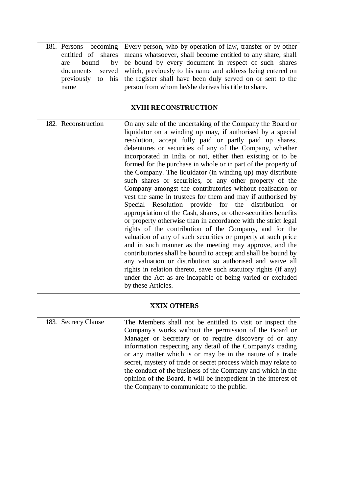|  |      | 181. Persons becoming Every person, who by operation of law, transfer or by other |  |  |
|--|------|-----------------------------------------------------------------------------------|--|--|
|  |      | entitled of shares means whatsoever, shall become entitled to any share, shall    |  |  |
|  |      | are bound by be bound by every document in respect of such shares                 |  |  |
|  |      | documents served which, previously to his name and address being entered on       |  |  |
|  |      | previously to his the register shall have been duly served on or sent to the      |  |  |
|  | name | person from whom he/she derives his title to share.                               |  |  |
|  |      |                                                                                   |  |  |

### **XVIII RECONSTRUCTION**

| 182. | Reconstruction | On any sale of the undertaking of the Company the Board or<br>liquidator on a winding up may, if authorised by a special<br>resolution, accept fully paid or partly paid up shares,<br>debentures or securities of any of the Company, whether<br>incorporated in India or not, either then existing or to be<br>formed for the purchase in whole or in part of the property of<br>the Company. The liquidator (in winding up) may distribute<br>such shares or securities, or any other property of the<br>Company amongst the contributories without realisation or<br>vest the same in trustees for them and may if authorised by<br>Special Resolution provide for the distribution or<br>appropriation of the Cash, shares, or other-securities benefits<br>or property otherwise than in accordance with the strict legal<br>rights of the contribution of the Company, and for the<br>valuation of any of such securities or property at such price<br>and in such manner as the meeting may approve, and the<br>contributories shall be bound to accept and shall be bound by<br>any valuation or distribution so authorised and waive all<br>rights in relation thereto, save such statutory rights (if any) |
|------|----------------|-----------------------------------------------------------------------------------------------------------------------------------------------------------------------------------------------------------------------------------------------------------------------------------------------------------------------------------------------------------------------------------------------------------------------------------------------------------------------------------------------------------------------------------------------------------------------------------------------------------------------------------------------------------------------------------------------------------------------------------------------------------------------------------------------------------------------------------------------------------------------------------------------------------------------------------------------------------------------------------------------------------------------------------------------------------------------------------------------------------------------------------------------------------------------------------------------------------------------|
|      |                | under the Act as are incapable of being varied or excluded<br>by these Articles.                                                                                                                                                                                                                                                                                                                                                                                                                                                                                                                                                                                                                                                                                                                                                                                                                                                                                                                                                                                                                                                                                                                                      |

### **XXIX OTHERS**

| 183. Secrecy Clause | The Members shall not be entitled to visit or inspect the       |  |  |
|---------------------|-----------------------------------------------------------------|--|--|
|                     | Company's works without the permission of the Board or          |  |  |
|                     | Manager or Secretary or to require discovery of or any          |  |  |
|                     | information respecting any detail of the Company's trading      |  |  |
|                     | or any matter which is or may be in the nature of a trade       |  |  |
|                     | secret, mystery of trade or secret process which may relate to  |  |  |
|                     | the conduct of the business of the Company and which in the     |  |  |
|                     | opinion of the Board, it will be inexpedient in the interest of |  |  |
|                     | the Company to communicate to the public.                       |  |  |